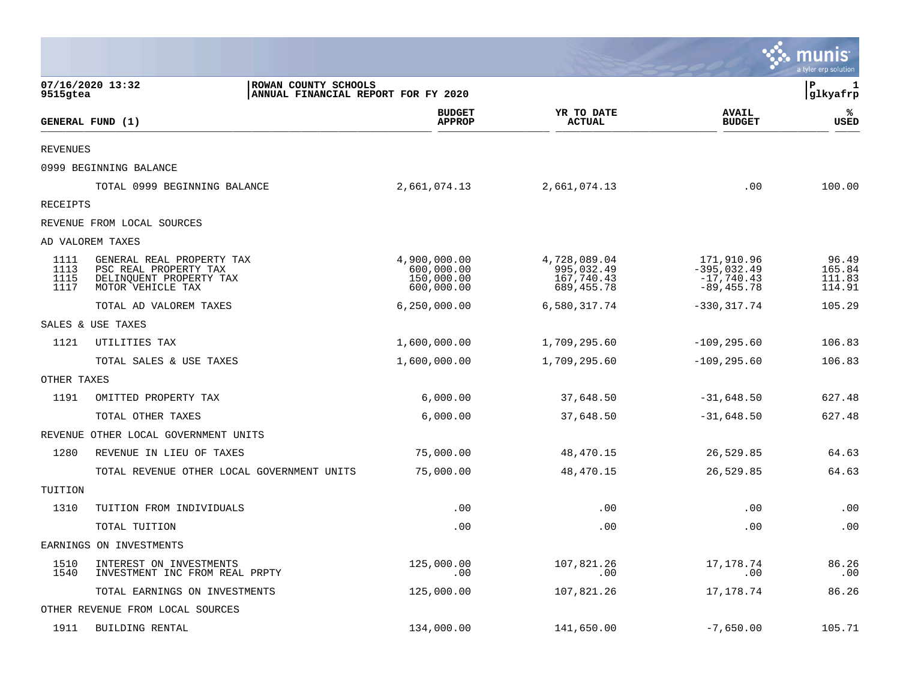|                              |                                                                                                    |                                                        |                                                          |                                                              | a tyler erp solutior                |
|------------------------------|----------------------------------------------------------------------------------------------------|--------------------------------------------------------|----------------------------------------------------------|--------------------------------------------------------------|-------------------------------------|
| 9515gtea                     | 07/16/2020 13:32<br>ROWAN COUNTY SCHOOLS<br>ANNUAL FINANCIAL REPORT FOR FY 2020                    |                                                        |                                                          |                                                              | P<br>1<br>glkyafrp                  |
|                              | GENERAL FUND (1)                                                                                   | <b>BUDGET</b><br><b>APPROP</b>                         | YR TO DATE<br><b>ACTUAL</b>                              | <b>AVAIL</b><br><b>BUDGET</b>                                | %<br><b>USED</b>                    |
| <b>REVENUES</b>              |                                                                                                    |                                                        |                                                          |                                                              |                                     |
|                              | 0999 BEGINNING BALANCE                                                                             |                                                        |                                                          |                                                              |                                     |
|                              | TOTAL 0999 BEGINNING BALANCE                                                                       | 2,661,074.13                                           | 2,661,074.13                                             | .00                                                          | 100.00                              |
| RECEIPTS                     |                                                                                                    |                                                        |                                                          |                                                              |                                     |
|                              | REVENUE FROM LOCAL SOURCES                                                                         |                                                        |                                                          |                                                              |                                     |
|                              | AD VALOREM TAXES                                                                                   |                                                        |                                                          |                                                              |                                     |
| 1111<br>1113<br>1115<br>1117 | GENERAL REAL PROPERTY TAX<br>PSC REAL PROPERTY TAX<br>DELINQUENT PROPERTY TAX<br>MOTOR VEHICLE TAX | 4,900,000.00<br>600,000.00<br>150,000.00<br>600,000.00 | 4,728,089.04<br>995,032.49<br>167,740.43<br>689, 455. 78 | 171,910.96<br>$-395,032.49$<br>$-17,740.43$<br>$-89, 455.78$ | 96.49<br>165.84<br>111.83<br>114.91 |
|                              | TOTAL AD VALOREM TAXES                                                                             | 6, 250, 000.00                                         | 6,580,317.74                                             | $-330, 317.74$                                               | 105.29                              |
|                              | SALES & USE TAXES                                                                                  |                                                        |                                                          |                                                              |                                     |
| 1121                         | UTILITIES TAX                                                                                      | 1,600,000.00                                           | 1,709,295.60                                             | $-109, 295.60$                                               | 106.83                              |
|                              | TOTAL SALES & USE TAXES                                                                            | 1,600,000.00                                           | 1,709,295.60                                             | $-109, 295.60$                                               | 106.83                              |
| OTHER TAXES                  |                                                                                                    |                                                        |                                                          |                                                              |                                     |
| 1191                         | OMITTED PROPERTY TAX                                                                               | 6,000.00                                               | 37,648.50                                                | $-31,648.50$                                                 | 627.48                              |
|                              | TOTAL OTHER TAXES                                                                                  | 6,000.00                                               | 37,648.50                                                | $-31,648.50$                                                 | 627.48                              |
| REVENUE                      | OTHER LOCAL GOVERNMENT UNITS                                                                       |                                                        |                                                          |                                                              |                                     |
| 1280                         | REVENUE IN LIEU OF TAXES                                                                           | 75,000.00                                              | 48,470.15                                                | 26,529.85                                                    | 64.63                               |
|                              | TOTAL REVENUE OTHER LOCAL GOVERNMENT UNITS                                                         | 75,000.00                                              | 48,470.15                                                | 26,529.85                                                    | 64.63                               |
| TUITION                      |                                                                                                    |                                                        |                                                          |                                                              |                                     |
| 1310                         | TUITION FROM INDIVIDUALS                                                                           | .00                                                    | .00                                                      | .00                                                          | .00                                 |
|                              | TOTAL TUITION                                                                                      | .00                                                    | .00                                                      | .00                                                          | .00                                 |
|                              | EARNINGS ON INVESTMENTS                                                                            |                                                        |                                                          |                                                              |                                     |
| 1510<br>1540                 | INTEREST ON INVESTMENTS<br>INVESTMENT INC FROM REAL PRPTY                                          | 125,000.00<br>.00                                      | 107,821.26<br>.00                                        | 17, 178. 74<br>.00                                           | 86.26<br>.00                        |
|                              | TOTAL EARNINGS ON INVESTMENTS                                                                      | 125,000.00                                             | 107,821.26                                               | 17,178.74                                                    | 86.26                               |
|                              | OTHER REVENUE FROM LOCAL SOURCES                                                                   |                                                        |                                                          |                                                              |                                     |
| 1911                         | BUILDING RENTAL                                                                                    | 134,000.00                                             | 141,650.00                                               | $-7,650.00$                                                  | 105.71                              |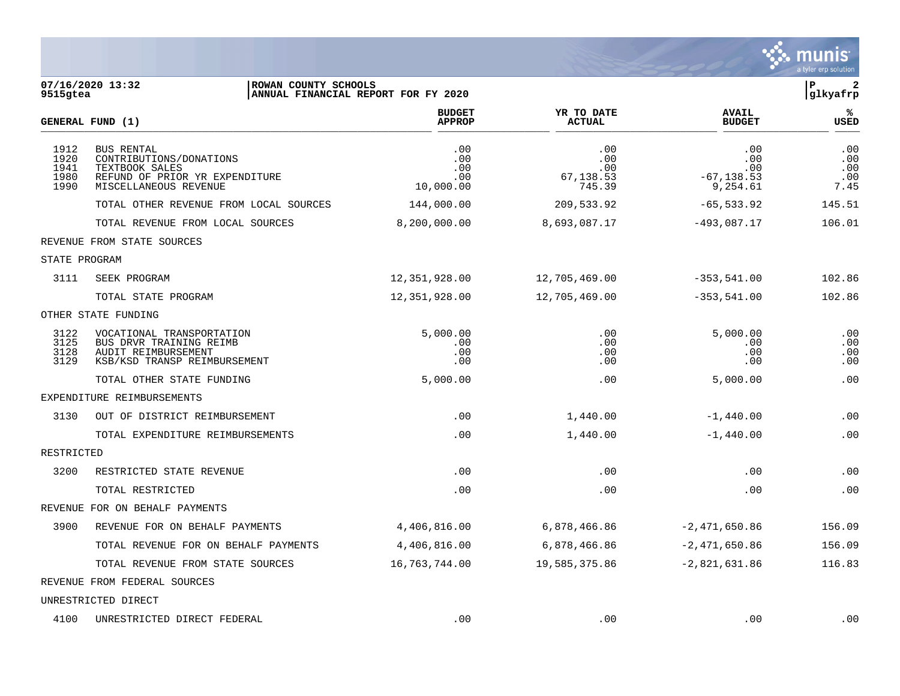

| 9515gtea                             | 07/16/2020 13:32<br>ROWAN COUNTY SCHOOLS                                                                                  | ANNUAL FINANCIAL REPORT FOR FY 2020   |                                          |                                                | $\mathbf P$<br>2<br>glkyafrp     |
|--------------------------------------|---------------------------------------------------------------------------------------------------------------------------|---------------------------------------|------------------------------------------|------------------------------------------------|----------------------------------|
|                                      | GENERAL FUND (1)                                                                                                          | <b>BUDGET</b><br><b>APPROP</b>        | YR TO DATE<br><b>ACTUAL</b>              | <b>AVAIL</b><br><b>BUDGET</b>                  | %<br>USED                        |
| 1912<br>1920<br>1941<br>1980<br>1990 | <b>BUS RENTAL</b><br>CONTRIBUTIONS/DONATIONS<br>TEXTBOOK SALES<br>REFUND OF PRIOR YR EXPENDITURE<br>MISCELLANEOUS REVENUE | .00<br>.00<br>.00<br>.00<br>10,000.00 | .00<br>.00<br>.00<br>67,138.53<br>745.39 | .00<br>.00<br>.00<br>$-67, 138.53$<br>9,254.61 | .00<br>.00<br>.00<br>.00<br>7.45 |
|                                      | TOTAL OTHER REVENUE FROM LOCAL SOURCES                                                                                    | 144,000.00                            | 209,533.92                               | $-65, 533.92$                                  | 145.51                           |
|                                      | TOTAL REVENUE FROM LOCAL SOURCES                                                                                          | 8,200,000.00                          | 8,693,087.17                             | $-493,087.17$                                  | 106.01                           |
|                                      | REVENUE FROM STATE SOURCES                                                                                                |                                       |                                          |                                                |                                  |
| STATE PROGRAM                        |                                                                                                                           |                                       |                                          |                                                |                                  |
| 3111                                 | SEEK PROGRAM                                                                                                              | 12,351,928.00                         | 12,705,469.00                            | $-353,541.00$                                  | 102.86                           |
|                                      | TOTAL STATE PROGRAM                                                                                                       | 12,351,928.00                         | 12,705,469.00                            | $-353,541.00$                                  | 102.86                           |
|                                      | OTHER STATE FUNDING                                                                                                       |                                       |                                          |                                                |                                  |
| 3122<br>3125<br>3128<br>3129         | VOCATIONAL TRANSPORTATION<br>BUS DRVR TRAINING REIMB<br>AUDIT REIMBURSEMENT<br>KSB/KSD TRANSP REIMBURSEMENT               | 5,000.00<br>.00<br>.00<br>.00         | .00<br>.00<br>.00<br>.00                 | 5,000.00<br>.00<br>.00<br>.00                  | .00<br>.00<br>.00<br>.00         |
|                                      | TOTAL OTHER STATE FUNDING                                                                                                 | 5,000.00                              | .00                                      | 5,000.00                                       | .00                              |
|                                      | EXPENDITURE REIMBURSEMENTS                                                                                                |                                       |                                          |                                                |                                  |
| 3130                                 | OUT OF DISTRICT REIMBURSEMENT                                                                                             | .00                                   | 1,440.00                                 | $-1,440.00$                                    | .00                              |
|                                      | TOTAL EXPENDITURE REIMBURSEMENTS                                                                                          | .00                                   | 1,440.00                                 | $-1,440.00$                                    | .00                              |
| RESTRICTED                           |                                                                                                                           |                                       |                                          |                                                |                                  |
| 3200                                 | RESTRICTED STATE REVENUE                                                                                                  | .00                                   | .00                                      | .00                                            | .00                              |
|                                      | TOTAL RESTRICTED                                                                                                          | .00                                   | .00                                      | .00                                            | .00                              |
|                                      | REVENUE FOR ON BEHALF PAYMENTS                                                                                            |                                       |                                          |                                                |                                  |
| 3900                                 | REVENUE FOR ON BEHALF PAYMENTS                                                                                            | 4,406,816.00                          | 6,878,466.86                             | $-2,471,650.86$                                | 156.09                           |
|                                      | TOTAL REVENUE FOR ON BEHALF PAYMENTS                                                                                      | 4,406,816.00                          | 6,878,466.86                             | $-2,471,650.86$                                | 156.09                           |
|                                      | TOTAL REVENUE FROM STATE SOURCES                                                                                          | 16, 763, 744.00                       | 19,585,375.86                            | $-2,821,631.86$                                | 116.83                           |
|                                      | REVENUE FROM FEDERAL SOURCES                                                                                              |                                       |                                          |                                                |                                  |
|                                      | UNRESTRICTED DIRECT                                                                                                       |                                       |                                          |                                                |                                  |
| 4100                                 | UNRESTRICTED DIRECT FEDERAL                                                                                               | .00                                   | .00                                      | .00                                            | .00                              |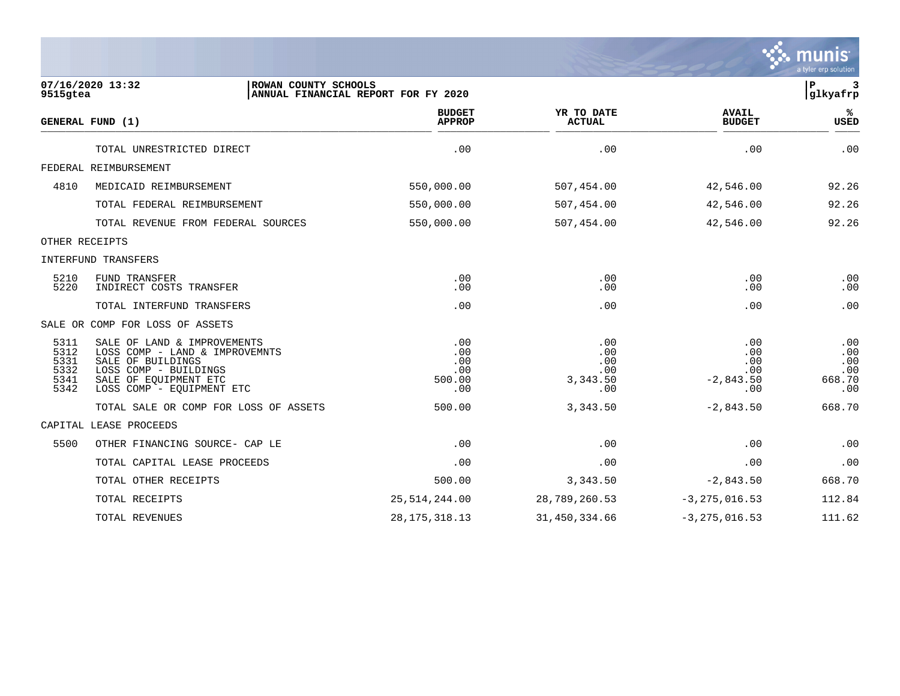|                                              |                                                                                                                                                                   |                                                   |                                             |                                                | mun<br>a tyler erp solution               |
|----------------------------------------------|-------------------------------------------------------------------------------------------------------------------------------------------------------------------|---------------------------------------------------|---------------------------------------------|------------------------------------------------|-------------------------------------------|
| 9515gtea                                     | 07/16/2020 13:32<br>ROWAN COUNTY SCHOOLS                                                                                                                          | ANNUAL FINANCIAL REPORT FOR FY 2020               |                                             |                                                | ${\bf P}$<br>3<br>glkyafrp                |
|                                              | GENERAL FUND (1)                                                                                                                                                  | <b>BUDGET</b><br><b>APPROP</b>                    | YR TO DATE<br><b>ACTUAL</b>                 | <b>AVAIL</b><br><b>BUDGET</b>                  | %ะ<br><b>USED</b>                         |
|                                              | TOTAL UNRESTRICTED DIRECT                                                                                                                                         | .00                                               | .00                                         | .00                                            | .00                                       |
|                                              | FEDERAL REIMBURSEMENT                                                                                                                                             |                                                   |                                             |                                                |                                           |
| 4810                                         | MEDICAID REIMBURSEMENT                                                                                                                                            | 550,000.00                                        | 507,454.00                                  | 42,546.00                                      | 92.26                                     |
|                                              | TOTAL FEDERAL REIMBURSEMENT                                                                                                                                       | 550,000.00                                        | 507,454.00                                  | 42,546.00                                      | 92.26                                     |
|                                              | TOTAL REVENUE FROM FEDERAL SOURCES                                                                                                                                | 550,000.00                                        | 507,454.00                                  | 42,546.00                                      | 92.26                                     |
|                                              | OTHER RECEIPTS                                                                                                                                                    |                                                   |                                             |                                                |                                           |
|                                              | INTERFUND TRANSFERS                                                                                                                                               |                                                   |                                             |                                                |                                           |
| 5210<br>5220                                 | <b>FUND TRANSFER</b><br>INDIRECT COSTS TRANSFER                                                                                                                   | .00<br>$.00 \,$                                   | .00<br>.00                                  | .00<br>.00                                     | .00<br>$.00 \,$                           |
|                                              | TOTAL INTERFUND TRANSFERS                                                                                                                                         | .00                                               | .00                                         | .00                                            | .00                                       |
|                                              | SALE OR COMP FOR LOSS OF ASSETS                                                                                                                                   |                                                   |                                             |                                                |                                           |
| 5311<br>5312<br>5331<br>5332<br>5341<br>5342 | SALE OF LAND & IMPROVEMENTS<br>LOSS COMP - LAND & IMPROVEMNTS<br>SALE OF BUILDINGS<br>LOSS COMP - BUILDINGS<br>SALE OF EQUIPMENT ETC<br>LOSS COMP - EQUIPMENT ETC | .00<br>.00<br>.00<br>$.00 \ \rm$<br>500.00<br>.00 | .00<br>.00<br>.00<br>.00<br>3,343.50<br>.00 | .00<br>.00<br>.00<br>.00<br>$-2,843.50$<br>.00 | .00<br>.00<br>.00<br>.00<br>668.70<br>.00 |
|                                              | TOTAL SALE OR COMP FOR LOSS OF ASSETS                                                                                                                             | 500.00                                            | 3,343.50                                    | $-2,843.50$                                    | 668.70                                    |
|                                              | CAPITAL LEASE PROCEEDS                                                                                                                                            |                                                   |                                             |                                                |                                           |
| 5500                                         | OTHER FINANCING SOURCE- CAP LE                                                                                                                                    | .00                                               | .00                                         | .00                                            | .00                                       |
|                                              | TOTAL CAPITAL LEASE PROCEEDS                                                                                                                                      | .00                                               | .00                                         | .00                                            | .00                                       |
|                                              | TOTAL OTHER RECEIPTS                                                                                                                                              | 500.00                                            | 3,343.50                                    | $-2,843.50$                                    | 668.70                                    |
|                                              | TOTAL RECEIPTS                                                                                                                                                    | 25, 514, 244.00                                   | 28,789,260.53                               | $-3, 275, 016.53$                              | 112.84                                    |
|                                              | TOTAL REVENUES                                                                                                                                                    | 28, 175, 318. 13                                  | 31,450,334.66                               | $-3, 275, 016.53$                              | 111.62                                    |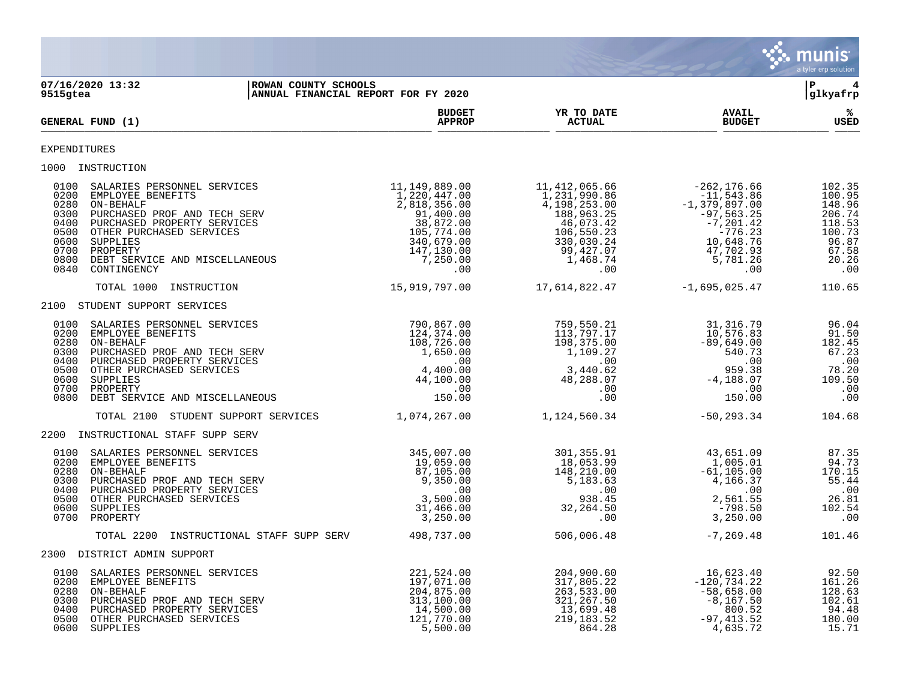|                                                                                                                                                                                                                                                                                                                   |                                                                                                                                      |                                                                                                                                        |                                                                                                                                              | <b>munis</b><br>a tyler erp solution                                                       |
|-------------------------------------------------------------------------------------------------------------------------------------------------------------------------------------------------------------------------------------------------------------------------------------------------------------------|--------------------------------------------------------------------------------------------------------------------------------------|----------------------------------------------------------------------------------------------------------------------------------------|----------------------------------------------------------------------------------------------------------------------------------------------|--------------------------------------------------------------------------------------------|
| 07/16/2020 13:32<br>ROWAN COUNTY SCHOOLS<br>9515gtea<br>ANNUAL FINANCIAL REPORT FOR FY 2020                                                                                                                                                                                                                       |                                                                                                                                      |                                                                                                                                        |                                                                                                                                              | l P<br>4<br> glkyafrp                                                                      |
| GENERAL FUND (1)                                                                                                                                                                                                                                                                                                  | <b>BUDGET</b><br><b>APPROP</b>                                                                                                       | YR TO DATE<br><b>ACTUAL</b>                                                                                                            | <b>AVAIL</b><br><b>BUDGET</b>                                                                                                                | %ะ<br><b>USED</b>                                                                          |
| EXPENDITURES                                                                                                                                                                                                                                                                                                      |                                                                                                                                      |                                                                                                                                        |                                                                                                                                              |                                                                                            |
| 1000 INSTRUCTION                                                                                                                                                                                                                                                                                                  |                                                                                                                                      |                                                                                                                                        |                                                                                                                                              |                                                                                            |
| 0100<br>SALARIES PERSONNEL SERVICES<br>0200<br>EMPLOYEE BENEFITS<br>ON-BEHALF<br>0280<br>0300<br>PURCHASED PROF AND TECH SERV<br>0400<br>PURCHASED PROPERTY SERVICES<br>0500<br>OTHER PURCHASED SERVICES<br>0600<br>SUPPLIES<br>0700<br>PROPERTY<br>0800<br>DEBT SERVICE AND MISCELLANEOUS<br>0840<br>CONTINGENCY | 11,149,889.00<br>1,220,447.00<br>2,818,356.00<br>91,400.00<br>38,872.00<br>105,774.00<br>340,679.00<br>147,130.00<br>7,250.00<br>.00 | 11, 412, 065.66<br>1,231,990.86<br>4,198,253.00<br>188,963.25<br>46,073.42<br>106,550.23<br>330,030.24<br>99,427.07<br>1,468.74<br>.00 | $-262, 176.66$<br>$-11, 543.86$<br>$-1,379,897.00$<br>$-97,563.25$<br>$-7, 201.42$<br>$-776.23$<br>10,648.76<br>47,702.93<br>5,781.26<br>.00 | 102.35<br>100.95<br>148.96<br>206.74<br>118.53<br>100.73<br>96.87<br>67.58<br>20.26<br>.00 |
| TOTAL 1000<br>INSTRUCTION                                                                                                                                                                                                                                                                                         | 15,919,797.00                                                                                                                        | 17,614,822.47                                                                                                                          | $-1,695,025.47$                                                                                                                              | 110.65                                                                                     |
| 2100 STUDENT SUPPORT SERVICES                                                                                                                                                                                                                                                                                     |                                                                                                                                      |                                                                                                                                        |                                                                                                                                              |                                                                                            |
| 0100<br>SALARIES PERSONNEL SERVICES<br>0200<br>EMPLOYEE BENEFITS<br>ON-BEHALF<br>0280<br>0300<br>PURCHASED PROF AND TECH SERV<br>0400<br>PURCHASED PROPERTY SERVICES<br>0500<br>OTHER PURCHASED SERVICES<br>0600<br>SUPPLIES<br>0700<br>PROPERTY<br>0800<br>DEBT SERVICE AND MISCELLANEOUS                        | 790,867.00<br>124,374.00<br>108,726.00<br>1,650.00<br>.00<br>4,400.00<br>44,100.00<br>.00<br>150.00                                  | 759,550.21<br>113,797.17<br>198,375.00<br>1,109.27<br>.00<br>3,440.62<br>48,288.07<br>.00<br>.00                                       | 31, 316.79<br>10,576.83<br>$-89,649.00$<br>540.73<br>.00<br>959.38<br>$-4,188.07$<br>.00<br>150.00                                           | 96.04<br>91.50<br>182.45<br>67.23<br>.00<br>78.20<br>109.50<br>.00<br>.00                  |
| TOTAL 2100<br>STUDENT SUPPORT SERVICES                                                                                                                                                                                                                                                                            | 1,074,267.00                                                                                                                         | 1,124,560.34                                                                                                                           | $-50, 293.34$                                                                                                                                | 104.68                                                                                     |
| 2200 INSTRUCTIONAL STAFF SUPP SERV                                                                                                                                                                                                                                                                                |                                                                                                                                      |                                                                                                                                        |                                                                                                                                              |                                                                                            |
| 0100<br>SALARIES PERSONNEL SERVICES<br>0200<br>EMPLOYEE BENEFITS<br>ON-BEHALF<br>0280<br>0300<br>PURCHASED PROF AND TECH SERV<br>0400<br>PURCHASED PROPERTY SERVICES<br>0500<br>OTHER PURCHASED SERVICES<br>0600<br>SUPPLIES<br>0700<br>PROPERTY                                                                  | 345,007.00<br>19,059.00<br>87,105.00<br>9,350.00<br>.00<br>3,500.00<br>31,466.00<br>3,250.00                                         | 301,355.91<br>18,053.99<br>148,210.00<br>5,183.63<br>.00<br>938.45<br>32,264.50<br>.00                                                 | 43,651.09<br>1,005.01<br>$-61, 105.00$<br>4,166.37<br>.00<br>2,561.55<br>$-798.50$<br>3,250.00                                               | 87.35<br>94.73<br>170.15<br>55.44<br>.00<br>26.81<br>102.54<br>.00                         |
| INSTRUCTIONAL STAFF SUPP SERV<br>TOTAL 2200                                                                                                                                                                                                                                                                       | 498,737.00                                                                                                                           | 506,006.48                                                                                                                             | $-7, 269.48$                                                                                                                                 | 101.46                                                                                     |
| 2300 DISTRICT ADMIN SUPPORT                                                                                                                                                                                                                                                                                       |                                                                                                                                      |                                                                                                                                        |                                                                                                                                              |                                                                                            |

**Section** 

| 0100 | SALARIES PERSONNEL SERVICES  | 221,524.00 | 204,900.60 | 16,623.40     | 92.50  |
|------|------------------------------|------------|------------|---------------|--------|
| 0200 | EMPLOYEE BENEFITS            | 197,071,00 | 317,805.22 | $-120.734.22$ | 161.26 |
| 0280 | ON-BEHALF                    | 204,875.00 | 263,533.00 | $-58.658.00$  | 128.63 |
| 0300 | PURCHASED PROF AND TECH SERV | 313,100.00 | 321,267.50 | $-8,167,50$   | 102.61 |
| 0400 | PURCHASED PROPERTY SERVICES  | 14,500.00  | 13,699.48  | 800.52        | 94.48  |
| 0500 | OTHER PURCHASED SERVICES     | 121,770.00 | 219,183.52 | $-97.413.52$  | 180.00 |
| 0600 | SUPPLIES                     | 5,500.00   | 864.28     | 4,635.72      | 15.71  |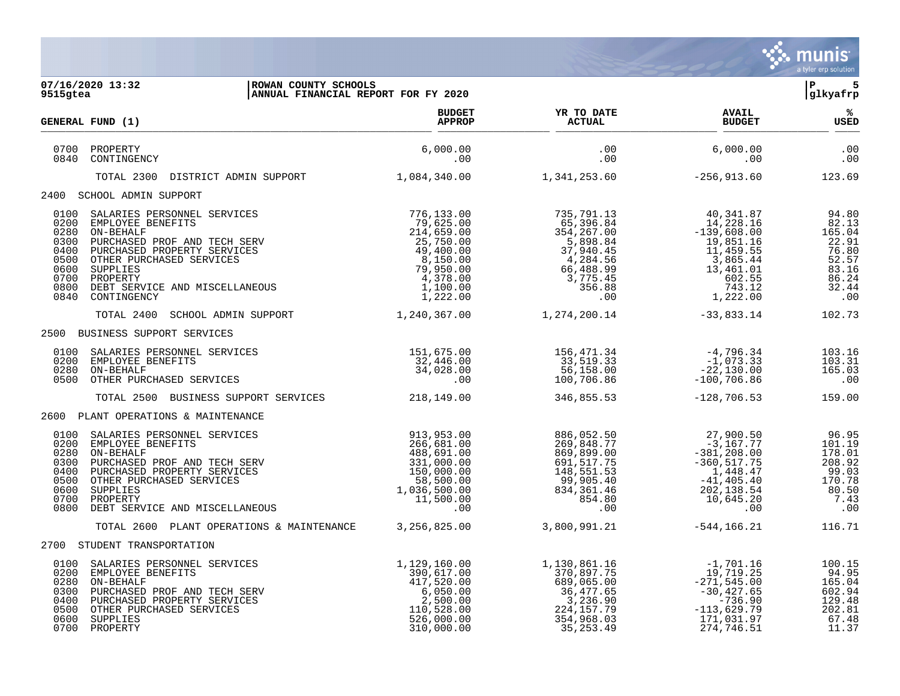

| 9515gtea                                                                     | 07/16/2020 13:32<br>ROWAN COUNTY SCHOOLS<br>ANNUAL FINANCIAL REPORT FOR FY 2020                                                                                                                                                   |                                                                                                                                       |                                                                                                                 |                                                                                                                                                                                                                                                   | IP.<br>5<br>glkyafrp                                                                  |
|------------------------------------------------------------------------------|-----------------------------------------------------------------------------------------------------------------------------------------------------------------------------------------------------------------------------------|---------------------------------------------------------------------------------------------------------------------------------------|-----------------------------------------------------------------------------------------------------------------|---------------------------------------------------------------------------------------------------------------------------------------------------------------------------------------------------------------------------------------------------|---------------------------------------------------------------------------------------|
|                                                                              | GENERAL FUND (1)                                                                                                                                                                                                                  | <b>BUDGET</b><br><b>APPROP</b>                                                                                                        | YR TO DATE<br><b>ACTUAL</b>                                                                                     | <b>AVAIL</b><br><b>BUDGET</b>                                                                                                                                                                                                                     | % ર<br><b>USED</b>                                                                    |
| 0840                                                                         | 0700 PROPERTY<br>CONTINGENCY                                                                                                                                                                                                      | 6,000.00<br>.00                                                                                                                       | .00<br>.00                                                                                                      | 6,000.00<br>.00                                                                                                                                                                                                                                   | .00<br>$\begin{array}{c} 00 \\ -00 \end{array}$                                       |
|                                                                              | DISTRICT ADMIN SUPPORT 1,084,340.00<br>TOTAL 2300                                                                                                                                                                                 |                                                                                                                                       | $1,341,253.60$ $-256,913.60$                                                                                    |                                                                                                                                                                                                                                                   | 123.69                                                                                |
|                                                                              | 2400 SCHOOL ADMIN SUPPORT                                                                                                                                                                                                         |                                                                                                                                       |                                                                                                                 |                                                                                                                                                                                                                                                   |                                                                                       |
| 0100<br>0200<br>0280<br>0300<br>0400<br>0500<br>0600<br>0700<br>0800<br>0840 | SALARIES PERSONNEL SERVICES<br>EMPLOYEE BENEFITS<br>ON-BEHALF<br>PURCHASED PROF AND TECH SERV<br>PURCHASED PROPERTY SERVICES<br>OTHER PURCHASED SERVICES<br>SUPPLIES<br>PROPERTY<br>DEBT SERVICE AND MISCELLANEOUS<br>CONTINGENCY | 776,133.00<br>79,625.00<br>214,659.00<br>$217,750.00$<br>49,400.00<br>8,150.00<br>79,950.00<br>$4,378.00$<br>$1,100.00$<br>$1,222.00$ | 735,791.13<br>65,396.84<br>354,267.00<br>5,898.84                                                               | 40,341.87<br>14,228.16<br>$-139,608.00$<br>19,851.16<br>$\begin{array}{cccc} 5,898.84 & 19,851.16 \\ 37,940.45 & 11,459.55 \\ 4,284.56 & 3,865.44 \\ 66,488.99 & 13,461.01 \\ 3,775.45 & 602.55 \\ 356.88 & 743.12 \\ .00 & 1,222.00 \end{array}$ | 94.80<br>82.13<br>165.04<br>22.91<br>76.80<br>52.57<br>83.16<br>86.24<br>32.44<br>.00 |
|                                                                              | TOTAL 2400 SCHOOL ADMIN SUPPORT                                                                                                                                                                                                   | 1,240,367.00                                                                                                                          | 1,274,200.14                                                                                                    | $-33,833.14$                                                                                                                                                                                                                                      | 102.73                                                                                |
|                                                                              | 2500 BUSINESS SUPPORT SERVICES                                                                                                                                                                                                    |                                                                                                                                       |                                                                                                                 |                                                                                                                                                                                                                                                   |                                                                                       |
| 0200<br>0280<br>0500                                                         | 0100 SALARIES PERSONNEL SERVICES<br>EMPLOYEE BENEFITS<br>ON-BEHALF<br>OTHER PURCHASED SERVICES                                                                                                                                    | 151,675.00<br>$\begin{array}{c}\n0 \\ 0 \\ 0 \\ \end{array}$<br>32,446.00<br>34,028.00                                                | 156,471.34<br>$33,519.33$<br>$56,158.00$<br>$100,706.86$                                                        | $^{\rm -4}$ ,796.34<br>-1,073.33<br>-22,130.00<br>$-100,706.86$                                                                                                                                                                                   | 103.16<br>103.31<br>165.03<br>$\overline{\phantom{0}}$ .00                            |
|                                                                              | TOTAL 2500 BUSINESS SUPPORT SERVICES 218,149.00                                                                                                                                                                                   |                                                                                                                                       | 346,855.53                                                                                                      | $-128,706.53$                                                                                                                                                                                                                                     | 159.00                                                                                |
|                                                                              | 2600 PLANT OPERATIONS & MAINTENANCE                                                                                                                                                                                               |                                                                                                                                       |                                                                                                                 |                                                                                                                                                                                                                                                   |                                                                                       |
| 0100<br>0200<br>0280<br>0300<br>0400<br>0500<br>0600<br>0700<br>0800         | SALARIES PERSONNEL SERVICES<br>EMPLOYEE BENEFITS<br>ON-BEHALF<br>PURCHASED PROF AND TECH SERV<br>PURCHASED PROPERTY SERVICES<br>OTHER PURCHASED SERVICES<br>SUPPLIES<br>PROPERTY<br>DEBT SERVICE AND MISCELLANEOUS                | 913,953.00<br>266,681.00<br>$1331,000.00$<br>$150,000.00$<br>$58,500.00$<br>$1,036,500.00$<br>$11,500.00$                             | 886,052.50<br>269,848.77<br>869,899.00<br>691,517.75<br>148,551.53<br>99,905.40<br>834, 361.46<br>854.80<br>.00 | 27,900.50<br>$-3,167.77$<br>$-381, 208.00$<br>$-360, 517.75$<br>1,448.47<br>$-41,405.40$<br>202,138.54<br>10,645.20<br>.00                                                                                                                        | 96.95<br>101.19<br>178.01<br>208.92<br>99.03<br>170.78<br>80.50<br>7.43<br>.00        |
|                                                                              | TOTAL 2600 PLANT OPERATIONS & MAINTENANCE 3,256,825.00                                                                                                                                                                            |                                                                                                                                       | 3,800,991.21                                                                                                    | -544,166.21                                                                                                                                                                                                                                       | 116.71                                                                                |
|                                                                              | 2700 STUDENT TRANSPORTATION                                                                                                                                                                                                       |                                                                                                                                       |                                                                                                                 |                                                                                                                                                                                                                                                   |                                                                                       |
| 0100<br>0200<br>0280<br>0300<br>0400<br>0500<br>0600                         | SALARIES PERSONNEL SERVICES<br>EMPLOYEE BENEFITS<br>ON-BEHALF<br>PURCHASED PROF AND TECH SERV<br>PURCHASED PROPERTY SERVICES<br>OTHER PURCHASED SERVICES<br>SUPPLIES<br>0700 PROPERTY                                             | 1,129,160.00<br>390,617.00<br>$417,520.00$<br>6,050.00<br>2,500.00<br>110,528.00<br>526,000.00<br>310,000.00                          | 1,130,861.16<br>370,897.75<br>224, 157. 79<br>354,968.03<br>35,253.49                                           | -1,701.16<br>19,719.25<br>$-271, 545.00$<br>$-30,427.65$<br>$-736.90$<br>$-113,629.79$<br>171,031.97<br>274,746.51                                                                                                                                | 100.15<br>94.95<br>165.04<br>602.94<br>129.48<br>202.81<br>67.48<br>11.37             |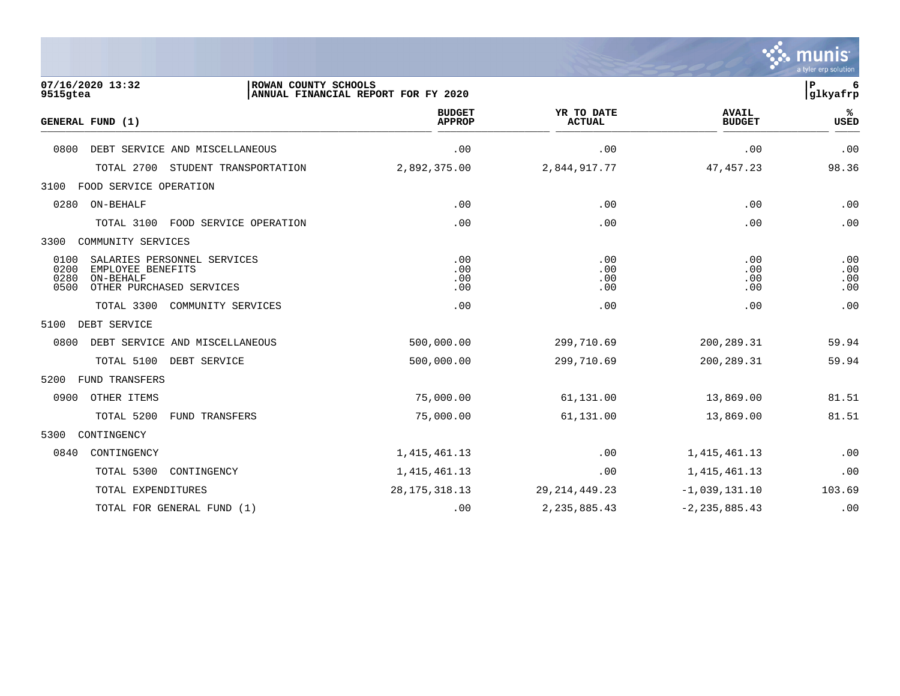|                                                                                                                           |                                     |                             |                               | munis<br>a tyler erp solution |
|---------------------------------------------------------------------------------------------------------------------------|-------------------------------------|-----------------------------|-------------------------------|-------------------------------|
| 07/16/2020 13:32<br>ROWAN COUNTY SCHOOLS<br>9515gtea                                                                      | ANNUAL FINANCIAL REPORT FOR FY 2020 |                             |                               | ${\bf P}$<br>6<br>glkyafrp    |
| GENERAL FUND (1)                                                                                                          | <b>BUDGET</b><br><b>APPROP</b>      | YR TO DATE<br><b>ACTUAL</b> | <b>AVAIL</b><br><b>BUDGET</b> | %ะ<br>USED                    |
| DEBT SERVICE AND MISCELLANEOUS<br>0800                                                                                    | .00                                 | .00                         | .00                           | .00                           |
| TOTAL 2700<br>STUDENT TRANSPORTATION                                                                                      | 2,892,375.00                        | 2,844,917.77                | 47, 457.23                    | 98.36                         |
| 3100<br>FOOD SERVICE OPERATION                                                                                            |                                     |                             |                               |                               |
| ON-BEHALF<br>0280                                                                                                         | .00                                 | .00                         | .00                           | .00                           |
| FOOD SERVICE OPERATION<br>TOTAL 3100                                                                                      | .00                                 | .00                         | .00                           | .00                           |
| 3300<br>COMMUNITY SERVICES                                                                                                |                                     |                             |                               |                               |
| 0100<br>SALARIES PERSONNEL SERVICES<br>0200<br>EMPLOYEE BENEFITS<br>0280<br>ON-BEHALF<br>0500<br>OTHER PURCHASED SERVICES | .00<br>.00<br>.00<br>.00            | .00<br>.00<br>.00<br>.00    | .00<br>.00<br>.00<br>.00      | .00<br>.00<br>.00<br>.00      |
| TOTAL 3300<br>COMMUNITY SERVICES                                                                                          | .00                                 | .00                         | .00                           | .00                           |
| 5100<br>DEBT SERVICE                                                                                                      |                                     |                             |                               |                               |
| 0800<br>DEBT SERVICE AND MISCELLANEOUS                                                                                    | 500,000.00                          | 299,710.69                  | 200, 289.31                   | 59.94                         |
| TOTAL 5100 DEBT SERVICE                                                                                                   | 500,000.00                          | 299,710.69                  | 200,289.31                    | 59.94                         |
| 5200<br>FUND TRANSFERS                                                                                                    |                                     |                             |                               |                               |
| 0900<br>OTHER ITEMS                                                                                                       | 75,000.00                           | 61,131.00                   | 13,869.00                     | 81.51                         |
| TOTAL 5200<br>FUND TRANSFERS                                                                                              | 75,000.00                           | 61,131.00                   | 13,869.00                     | 81.51                         |
| 5300<br>CONTINGENCY                                                                                                       |                                     |                             |                               |                               |
| 0840<br>CONTINGENCY                                                                                                       | 1, 415, 461.13                      | .00                         | 1, 415, 461.13                | .00                           |
| TOTAL 5300<br>CONTINGENCY                                                                                                 | 1, 415, 461.13                      | .00                         | 1, 415, 461.13                | .00                           |
| TOTAL EXPENDITURES                                                                                                        | 28, 175, 318. 13                    | 29, 214, 449. 23            | $-1,039,131.10$               | 103.69                        |
| TOTAL FOR GENERAL FUND (1)                                                                                                | $.00 \,$                            | 2, 235, 885.43              | $-2, 235, 885.43$             | .00                           |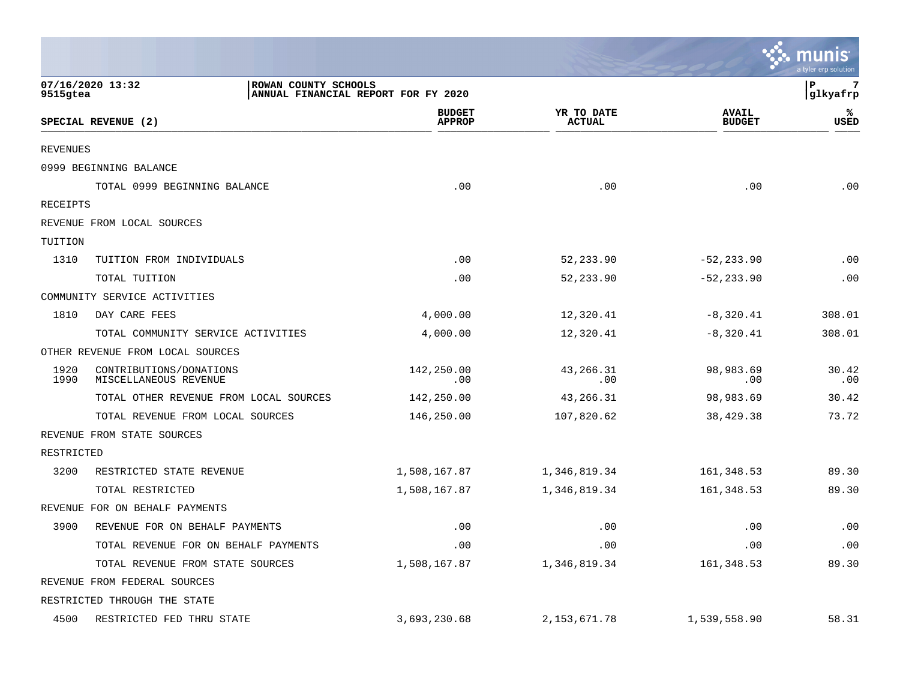|              |                                                  |                                     |                             |                               | munis<br>a tyler erp solution |
|--------------|--------------------------------------------------|-------------------------------------|-----------------------------|-------------------------------|-------------------------------|
| 9515gtea     | 07/16/2020 13:32<br>ROWAN COUNTY SCHOOLS         | ANNUAL FINANCIAL REPORT FOR FY 2020 |                             |                               | l P<br>7<br>glkyafrp          |
|              | SPECIAL REVENUE (2)                              | <b>BUDGET</b><br><b>APPROP</b>      | YR TO DATE<br><b>ACTUAL</b> | <b>AVAIL</b><br><b>BUDGET</b> | ℁<br>USED                     |
| REVENUES     |                                                  |                                     |                             |                               |                               |
|              | 0999 BEGINNING BALANCE                           |                                     |                             |                               |                               |
|              | TOTAL 0999 BEGINNING BALANCE                     | .00                                 | .00                         | .00                           | .00                           |
| RECEIPTS     |                                                  |                                     |                             |                               |                               |
|              | REVENUE FROM LOCAL SOURCES                       |                                     |                             |                               |                               |
| TUITION      |                                                  |                                     |                             |                               |                               |
| 1310         | TUITION FROM INDIVIDUALS                         | .00                                 | 52, 233.90                  | $-52, 233.90$                 | .00                           |
|              | TOTAL TUITION                                    | .00                                 | 52,233.90                   | $-52, 233.90$                 | .00                           |
|              | COMMUNITY SERVICE ACTIVITIES                     |                                     |                             |                               |                               |
| 1810         | DAY CARE FEES                                    | 4,000.00                            | 12,320.41                   | $-8,320.41$                   | 308.01                        |
|              | TOTAL COMMUNITY SERVICE ACTIVITIES               | 4,000.00                            | 12,320.41                   | $-8,320.41$                   | 308.01                        |
|              | OTHER REVENUE FROM LOCAL SOURCES                 |                                     |                             |                               |                               |
| 1920<br>1990 | CONTRIBUTIONS/DONATIONS<br>MISCELLANEOUS REVENUE | 142,250.00<br>.00                   | 43,266.31<br>.00            | 98,983.69<br>.00              | 30.42<br>.00                  |
|              | TOTAL OTHER REVENUE FROM LOCAL SOURCES           | 142,250.00                          | 43,266.31                   | 98,983.69                     | 30.42                         |
|              | TOTAL REVENUE FROM LOCAL SOURCES                 | 146,250.00                          | 107,820.62                  | 38,429.38                     | 73.72                         |
|              | REVENUE FROM STATE SOURCES                       |                                     |                             |                               |                               |
| RESTRICTED   |                                                  |                                     |                             |                               |                               |
| 3200         | RESTRICTED STATE REVENUE                         | 1,508,167.87                        | 1,346,819.34                | 161,348.53                    | 89.30                         |
|              | TOTAL RESTRICTED                                 | 1,508,167.87                        | 1,346,819.34                | 161,348.53                    | 89.30                         |
|              | REVENUE FOR ON BEHALF PAYMENTS                   |                                     |                             |                               |                               |
| 3900         | REVENUE FOR ON BEHALF PAYMENTS                   | .00                                 | .00                         | .00                           | .00                           |
|              | TOTAL REVENUE FOR ON BEHALF PAYMENTS             | .00                                 | .00                         | .00                           | .00                           |
|              | TOTAL REVENUE FROM STATE SOURCES                 | 1,508,167.87                        | 1,346,819.34                | 161, 348.53                   | 89.30                         |
|              | REVENUE FROM FEDERAL SOURCES                     |                                     |                             |                               |                               |
|              | RESTRICTED THROUGH THE STATE                     |                                     |                             |                               |                               |
| 4500         | RESTRICTED FED THRU STATE                        | 3,693,230.68                        | 2, 153, 671.78              | 1,539,558.90                  | 58.31                         |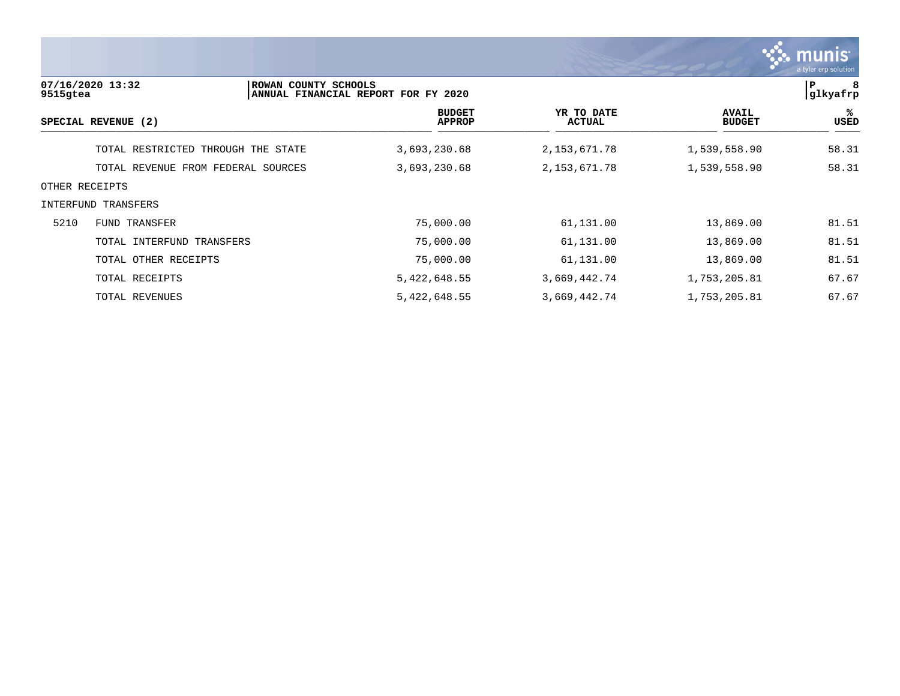

| 9515gtea       | 07/16/2020 13:32                   | ROWAN COUNTY SCHOOLS<br>ANNUAL FINANCIAL REPORT FOR FY 2020 |                                |                             |                               | 8<br> glkyafrp |
|----------------|------------------------------------|-------------------------------------------------------------|--------------------------------|-----------------------------|-------------------------------|----------------|
|                | SPECIAL REVENUE (2)                |                                                             | <b>BUDGET</b><br><b>APPROP</b> | YR TO DATE<br><b>ACTUAL</b> | <b>AVAIL</b><br><b>BUDGET</b> | %ะ<br>USED     |
|                | TOTAL RESTRICTED THROUGH THE STATE |                                                             | 3,693,230.68                   | 2, 153, 671.78              | 1,539,558.90                  | 58.31          |
|                | TOTAL REVENUE FROM FEDERAL SOURCES |                                                             | 3,693,230.68                   | 2, 153, 671.78              | 1,539,558.90                  | 58.31          |
| OTHER RECEIPTS |                                    |                                                             |                                |                             |                               |                |
|                | INTERFUND TRANSFERS                |                                                             |                                |                             |                               |                |
| 5210           | FUND TRANSFER                      |                                                             | 75,000.00                      | 61,131.00                   | 13,869.00                     | 81.51          |
|                | TOTAL INTERFUND TRANSFERS          |                                                             | 75,000.00                      | 61,131.00                   | 13,869.00                     | 81.51          |
|                | TOTAL OTHER RECEIPTS               |                                                             | 75,000.00                      | 61,131.00                   | 13,869.00                     | 81.51          |
|                | TOTAL RECEIPTS                     |                                                             | 5, 422, 648.55                 | 3,669,442.74                | 1,753,205.81                  | 67.67          |
|                | TOTAL REVENUES                     |                                                             | 5, 422, 648.55                 | 3,669,442.74                | 1,753,205.81                  | 67.67          |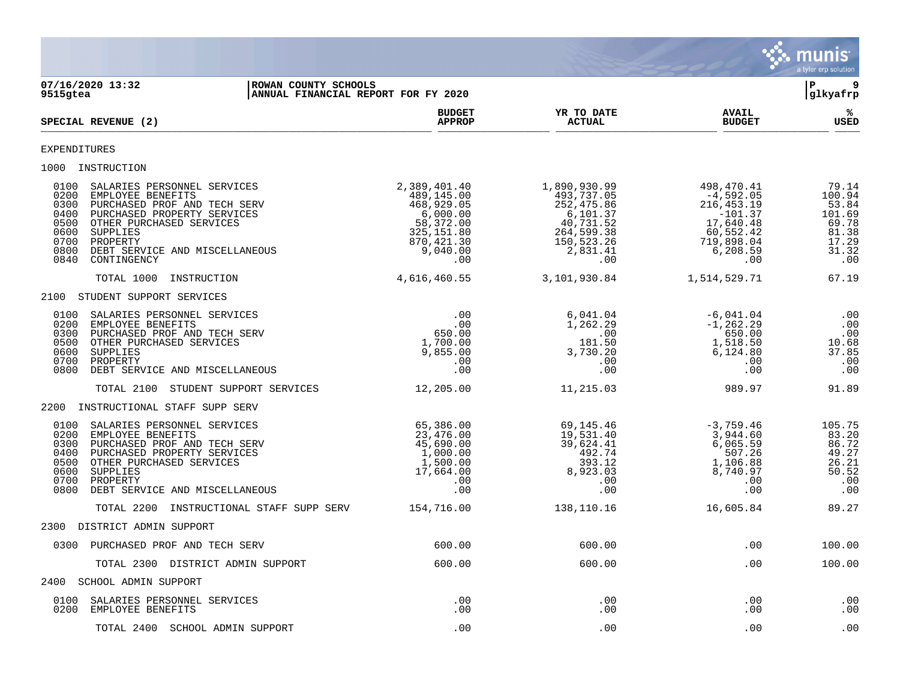

**07/16/2020 13:32 |ROWAN COUNTY SCHOOLS |P 9 |ANNUAL FINANCIAL REPORT FOR FY 2020 BUDGET YR TO DATE AVAIL %**  $SPECTAL REVIEW (2)$  $\frac{\text{AFR} + \text{R}}{\text{AFR}}$ EXPENDITURES 1000 INSTRUCTION 0100 SALARIES PERSONNEL SERVICES 2,389,401.40 1,890,930.99 498,470.41 79.14 0200 EMPLOYEE BENEFITS 489,145.00 493,737.05 -4,592.05 100.94 0300 PURCHASED PROF AND TECH SERV  $\begin{array}{cccc} 68,929.05 & 252,475.86 & 216,453.19 & 53.84 \ 0400 & PURCHASED PROPERTY SERVICES & 6,000.00 & -101.37 & 101.69 \ 0500 & 07HER PURCHASED SERVICES & 58,372.00 & 40,731.52 & 17,640.48 & 69.78 \ 0600 & 8IIPPLIES & 81.38 & 81.38 & 13.3$ 0400 PURCHASED PROPERTY SERVICES 6,000.00 6,000.00 6,101.37 -101.37 -101.37 101.69<br>69.78 58,372.00 40,731.52 17,640.48 59.78 69.78 0500 OTHER PURCHASED SERVICES 69.78 58,372.00 40,731.52 17,640.48 69.78 40.78 0600 SUPPLIES 325,151.80 264,599.38 60,552.42 81.38 0700 PROPERTY 870,421.30 150,523.26 719,898.04 17.29 0800 DEBT SERVICE AND MISCELLANEOUS 9,040.00 2,831.41 6,208.59 31.32 0840 CONTINGENCY .00 .00 .00 .00 TOTAL 1000 INSTRUCTION 4,616,460.55 3,101,930.84 1,514,529.71 67.19 2100 STUDENT SUPPORT SERVICES 0100 SALARIES PERSONNEL SERVICES .00 6,041.04 -6,041.04 .00 0200 EMPLOYEE BENEFITS .00 1,262.29 -1,262.29 .00 0300 PURCHASED PROF AND TECH SERV 650.00 .00 650.00 .00 0500 OTHER PURCHASED SERVICES 1,700.00 181.50 1,518.50 10.68 0600 SUPPLIES 9,855.00 3,730.20 6,124.80 37.85 0700 PROPERTY .00 .00 .00 .00 0800 DEBT SERVICE AND MISCELLANEOUS .00 .00 .00 .00 TOTAL 2100 STUDENT SUPPORT SERVICES 12,205.00 11,215.03 989.97 91.89 2200 INSTRUCTIONAL STAFF SUPP SERV 0100 SALARIES PERSONNEL SERVICES 65,386.00 69,145.46 -3,759.46 105.75<br>
0200 EMPLOYEE BENEFITS 23,476.00 19,531.40 3,944.60 83.20<br>
0300 PURCHASED PROF AND TECH SERV<br>
0400 PURCHASED PROPERTY SERVICES 1,000.00 39,624.41 6,065 0200 EMPLOYEE BENEFITS 83.20<br>
0300 PURCHASED PROF AND TECH SERV 83.20<br>
0400 PURCHASED PROPERTY SERVICES 86.72<br>
0500 OTHER PURCHASED SERVICES 88<br>
0500 OTHER PURCHASED SERVICES 88<br>
26.21 0300 PURCHASED PROF AND TECH SERV 45,690.00 39,624.41 6,065.59 86.72 0400 PURCHASED PROPERTY SERVICES 1,000.00 492.74 507.26 49.27 0500 OTHER PURCHASED SERVICES  $\begin{array}{cccccccc} & & & & 1,500.00 & & & & 393.12 & & & 1,106.88 & & & 26.21 & & & & 0.52 & & 0.52 & & 0.52 & & 0.52 & & 0.52 & & 0.52 & & 0.52 & & 0.52 & & 0.52 & & 0.52 & & 0.52 & & 0.52 & & 0.52 & & 0.52 & & 0.52 & & 0.52 & & 0.52 & & 0.52 & & 0.52 & &$  0600 SUPPLIES 17,664.00 8,923.03 8,740.97 50.52 0700 PROPERTY .00 .00 .00 .00 0800 DEBT SERVICE AND MISCELLANEOUS .00 .00 .00 .00 TOTAL 2200 INSTRUCTIONAL STAFF SUPP SERV 154,716.00 138,110.16 16,605.84 89.27 2300 DISTRICT ADMIN SUPPORT 0300 PURCHASED PROF AND TECH SERV 600.00 600.00 .00 100.00 TOTAL 2300 DISTRICT ADMIN SUPPORT 600.00 600.00 .00 100.00 2400 SCHOOL ADMIN SUPPORT 0100 SALARIES PERSONNEL SERVICES .00 .00 .00 .00 0200 EMPLOYEE BENEFITS TOTAL 2400 SCHOOL ADMIN SUPPORT .00 .00 .00 .00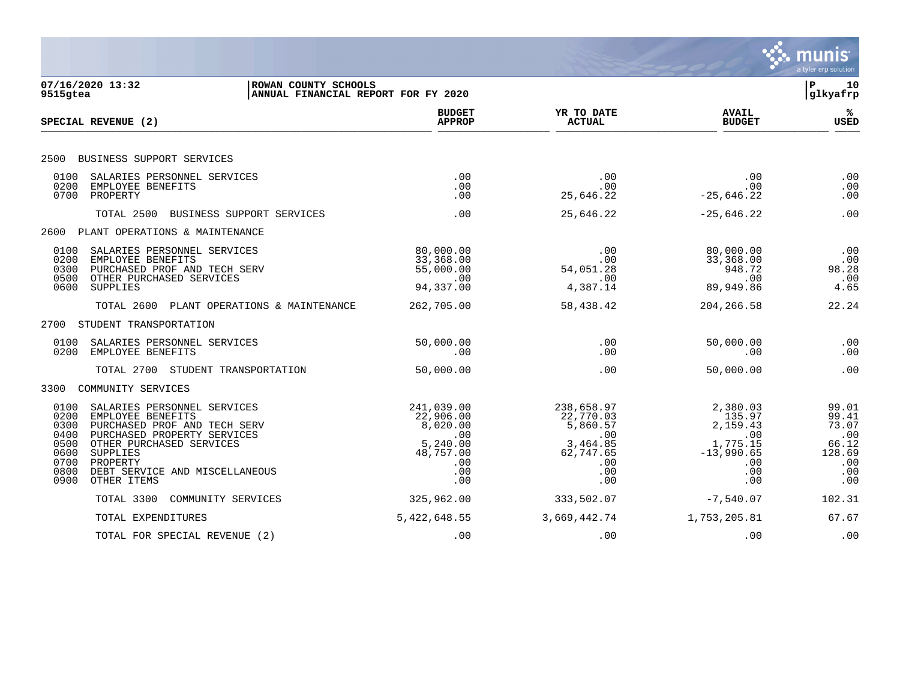|                                                                      |                                                                                                                                                                                                                      |                                                                                          |                                                                                          |                                                                                        | munis<br>a tyler erp solution                                          |
|----------------------------------------------------------------------|----------------------------------------------------------------------------------------------------------------------------------------------------------------------------------------------------------------------|------------------------------------------------------------------------------------------|------------------------------------------------------------------------------------------|----------------------------------------------------------------------------------------|------------------------------------------------------------------------|
| 9515gtea                                                             | 07/16/2020 13:32<br>ROWAN COUNTY SCHOOLS<br>ANNUAL FINANCIAL REPORT FOR FY 2020                                                                                                                                      |                                                                                          |                                                                                          |                                                                                        | ΙP<br>10<br>glkyafrp                                                   |
|                                                                      | SPECIAL REVENUE (2)                                                                                                                                                                                                  | <b>BUDGET</b><br><b>APPROP</b>                                                           | YR TO DATE<br><b>ACTUAL</b>                                                              | <b>AVAIL</b><br><b>BUDGET</b>                                                          | ℁<br>USED                                                              |
| 2500                                                                 | BUSINESS SUPPORT SERVICES                                                                                                                                                                                            |                                                                                          |                                                                                          |                                                                                        |                                                                        |
| 0100<br>0200<br>0700                                                 | SALARIES PERSONNEL SERVICES<br>EMPLOYEE BENEFITS<br>PROPERTY                                                                                                                                                         | .00<br>.00<br>.00                                                                        | .00<br>.00<br>25,646.22                                                                  | .00<br>.00<br>$-25,646.22$                                                             | .00<br>.00<br>.00                                                      |
|                                                                      | TOTAL 2500<br>BUSINESS SUPPORT SERVICES                                                                                                                                                                              | .00                                                                                      | 25,646.22                                                                                | $-25,646.22$                                                                           | .00                                                                    |
|                                                                      | 2600 PLANT OPERATIONS & MAINTENANCE                                                                                                                                                                                  |                                                                                          |                                                                                          |                                                                                        |                                                                        |
| 0100<br>0200<br>0300<br>0500<br>0600                                 | SALARIES PERSONNEL SERVICES<br>EMPLOYEE BENEFITS<br>PURCHASED PROF AND TECH SERV<br>OTHER PURCHASED SERVICES<br>SUPPLIES                                                                                             | 80,000.00<br>33,368.00<br>55,000.00<br>.00<br>94,337.00                                  | .00<br>.00<br>54,051.28<br>.00<br>4,387.14                                               | 80,000.00<br>33,368.00<br>948.72<br>.00<br>89,949.86                                   | .00<br>.00<br>98.28<br>.00<br>4.65                                     |
|                                                                      | TOTAL 2600<br>PLANT OPERATIONS & MAINTENANCE                                                                                                                                                                         | 262,705.00                                                                               | 58,438.42                                                                                | 204, 266.58                                                                            | 22.24                                                                  |
|                                                                      | 2700 STUDENT TRANSPORTATION                                                                                                                                                                                          |                                                                                          |                                                                                          |                                                                                        |                                                                        |
| 0100<br>0200                                                         | SALARIES PERSONNEL SERVICES<br>EMPLOYEE BENEFITS                                                                                                                                                                     | 50,000.00<br>.00                                                                         | .00<br>.00                                                                               | 50,000.00<br>.00                                                                       | .00<br>.00                                                             |
|                                                                      | TOTAL 2700 STUDENT TRANSPORTATION                                                                                                                                                                                    | 50,000.00                                                                                | .00                                                                                      | 50,000.00                                                                              | .00                                                                    |
| 3300                                                                 | COMMUNITY SERVICES                                                                                                                                                                                                   |                                                                                          |                                                                                          |                                                                                        |                                                                        |
| 0100<br>0200<br>0300<br>0400<br>0500<br>0600<br>0700<br>0800<br>0900 | SALARIES PERSONNEL SERVICES<br>EMPLOYEE BENEFITS<br>PURCHASED PROF AND TECH SERV<br>PURCHASED PROPERTY SERVICES<br>OTHER PURCHASED SERVICES<br>SUPPLIES<br>PROPERTY<br>DEBT SERVICE AND MISCELLANEOUS<br>OTHER ITEMS | 241,039.00<br>22,906.00<br>8,020.00<br>.00<br>5,240.00<br>48,757.00<br>.00<br>.00<br>.00 | 238,658.97<br>22,770.03<br>5,860.57<br>.00<br>3,464.85<br>62,747.65<br>.00<br>.00<br>.00 | 2,380.03<br>135.97<br>2,159.43<br>.00<br>1,775.15<br>$-13,990.65$<br>.00<br>.00<br>.00 | 99.01<br>99.41<br>73.07<br>.00<br>66.12<br>128.69<br>.00<br>.00<br>.00 |
|                                                                      | TOTAL 3300<br>COMMUNITY SERVICES                                                                                                                                                                                     | 325,962.00                                                                               | 333,502.07                                                                               | $-7,540.07$                                                                            | 102.31                                                                 |
|                                                                      | TOTAL EXPENDITURES                                                                                                                                                                                                   | 5,422,648.55                                                                             | 3,669,442.74                                                                             | 1,753,205.81                                                                           | 67.67                                                                  |
|                                                                      | TOTAL FOR SPECIAL REVENUE (2)                                                                                                                                                                                        | .00                                                                                      | .00                                                                                      | .00                                                                                    | .00                                                                    |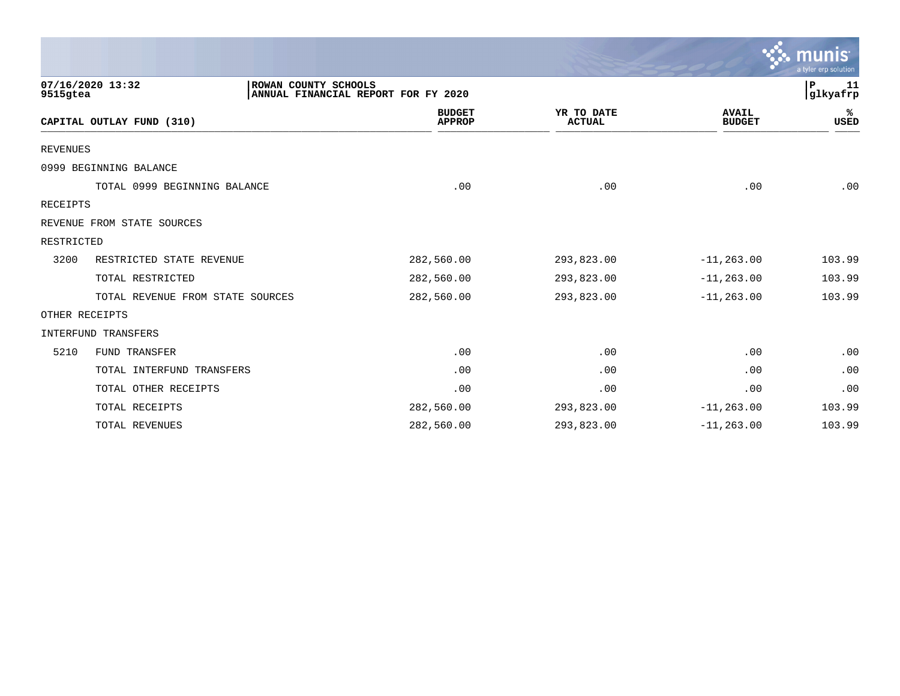|                 |                                  |                                                             |                                |                             |                               | $\mathbb{C}\mathbb{C}$ munis $\mathbb{C}$<br>a tyler erp solution |
|-----------------|----------------------------------|-------------------------------------------------------------|--------------------------------|-----------------------------|-------------------------------|-------------------------------------------------------------------|
| 9515gtea        | 07/16/2020 13:32                 | ROWAN COUNTY SCHOOLS<br>ANNUAL FINANCIAL REPORT FOR FY 2020 |                                |                             |                               | P<br>-11<br>glkyafrp                                              |
|                 | CAPITAL OUTLAY FUND (310)        |                                                             | <b>BUDGET</b><br><b>APPROP</b> | YR TO DATE<br><b>ACTUAL</b> | <b>AVAIL</b><br><b>BUDGET</b> | %ะ<br>USED                                                        |
| <b>REVENUES</b> |                                  |                                                             |                                |                             |                               |                                                                   |
|                 | 0999 BEGINNING BALANCE           |                                                             |                                |                             |                               |                                                                   |
|                 | TOTAL 0999 BEGINNING BALANCE     |                                                             | .00                            | .00                         | .00                           | .00                                                               |
| RECEIPTS        |                                  |                                                             |                                |                             |                               |                                                                   |
|                 | REVENUE FROM STATE SOURCES       |                                                             |                                |                             |                               |                                                                   |
| RESTRICTED      |                                  |                                                             |                                |                             |                               |                                                                   |
| 3200            | RESTRICTED STATE REVENUE         |                                                             | 282,560.00                     | 293,823.00                  | $-11, 263.00$                 | 103.99                                                            |
|                 | TOTAL RESTRICTED                 |                                                             | 282,560.00                     | 293,823.00                  | $-11, 263.00$                 | 103.99                                                            |
|                 | TOTAL REVENUE FROM STATE SOURCES |                                                             | 282,560.00                     | 293,823.00                  | $-11, 263.00$                 | 103.99                                                            |
|                 | OTHER RECEIPTS                   |                                                             |                                |                             |                               |                                                                   |
|                 | <b>INTERFUND TRANSFERS</b>       |                                                             |                                |                             |                               |                                                                   |
| 5210            | <b>FUND TRANSFER</b>             |                                                             | .00                            | .00                         | .00                           | .00                                                               |
|                 | TOTAL INTERFUND TRANSFERS        |                                                             | .00                            | .00                         | .00                           | .00                                                               |
|                 | TOTAL OTHER RECEIPTS             |                                                             | .00                            | .00                         | .00                           | .00                                                               |
|                 | TOTAL RECEIPTS                   |                                                             | 282,560.00                     | 293,823.00                  | $-11, 263.00$                 | 103.99                                                            |
|                 | <b>TOTAL REVENUES</b>            |                                                             | 282,560.00                     | 293,823.00                  | $-11, 263.00$                 | 103.99                                                            |

the contract of the contract of the contract of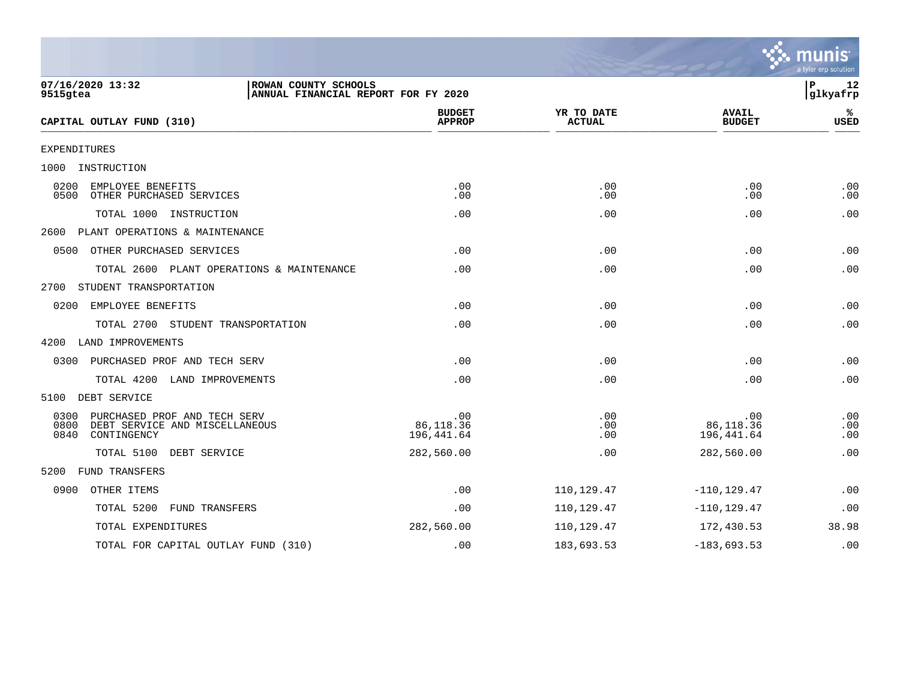|                                                                                                       |                                     |                             |                                | a tyler erp solution |
|-------------------------------------------------------------------------------------------------------|-------------------------------------|-----------------------------|--------------------------------|----------------------|
| 07/16/2020 13:32<br>ROWAN COUNTY SCHOOLS<br>9515gtea                                                  | ANNUAL FINANCIAL REPORT FOR FY 2020 |                             |                                | P<br>12<br>glkyafrp  |
| CAPITAL OUTLAY FUND (310)                                                                             | <b>BUDGET</b><br><b>APPROP</b>      | YR TO DATE<br><b>ACTUAL</b> | <b>AVAIL</b><br><b>BUDGET</b>  | ℁<br><b>USED</b>     |
| <b>EXPENDITURES</b>                                                                                   |                                     |                             |                                |                      |
| INSTRUCTION<br>1000                                                                                   |                                     |                             |                                |                      |
| EMPLOYEE BENEFITS<br>0200<br>0500<br>OTHER PURCHASED SERVICES                                         | .00<br>.00                          | .00<br>.00                  | .00<br>.00                     | .00<br>.00           |
| TOTAL 1000 INSTRUCTION                                                                                | .00                                 | .00                         | .00                            | .00                  |
| PLANT OPERATIONS & MAINTENANCE<br>2600                                                                |                                     |                             |                                |                      |
| 0500<br>OTHER PURCHASED SERVICES                                                                      | .00                                 | .00                         | .00                            | .00                  |
| TOTAL 2600 PLANT OPERATIONS & MAINTENANCE                                                             | .00                                 | .00                         | .00                            | .00                  |
| 2700<br>STUDENT TRANSPORTATION                                                                        |                                     |                             |                                |                      |
| 0200<br>EMPLOYEE BENEFITS                                                                             | .00                                 | .00                         | .00                            | .00                  |
| TOTAL 2700 STUDENT TRANSPORTATION                                                                     | .00                                 | .00                         | .00                            | .00                  |
| 4200<br>LAND IMPROVEMENTS                                                                             |                                     |                             |                                |                      |
| 0300<br>PURCHASED PROF AND TECH SERV                                                                  | .00                                 | .00                         | .00                            | .00                  |
| TOTAL 4200<br>LAND IMPROVEMENTS                                                                       | .00                                 | .00                         | .00                            | .00                  |
| DEBT SERVICE<br>5100                                                                                  |                                     |                             |                                |                      |
| 0300<br>PURCHASED PROF AND TECH SERV<br>0800<br>DEBT SERVICE AND MISCELLANEOUS<br>0840<br>CONTINGENCY | .00<br>86,118.36<br>196,441.64      | .00<br>.00<br>.00           | .00<br>86,118.36<br>196,441.64 | .00<br>.00<br>.00    |
| TOTAL 5100<br>DEBT SERVICE                                                                            | 282,560.00                          | .00                         | 282,560.00                     | .00                  |
| <b>FUND TRANSFERS</b><br>5200                                                                         |                                     |                             |                                |                      |
| 0900<br>OTHER ITEMS                                                                                   | .00                                 | 110,129.47                  | $-110, 129.47$                 | .00                  |
| TOTAL 5200<br>FUND TRANSFERS                                                                          | .00                                 | 110,129.47                  | $-110, 129.47$                 | .00                  |
| TOTAL EXPENDITURES                                                                                    | 282,560.00                          | 110,129.47                  | 172,430.53                     | 38.98                |
| TOTAL FOR CAPITAL OUTLAY FUND (310)                                                                   | .00                                 | 183,693.53                  | $-183,693.53$                  | .00                  |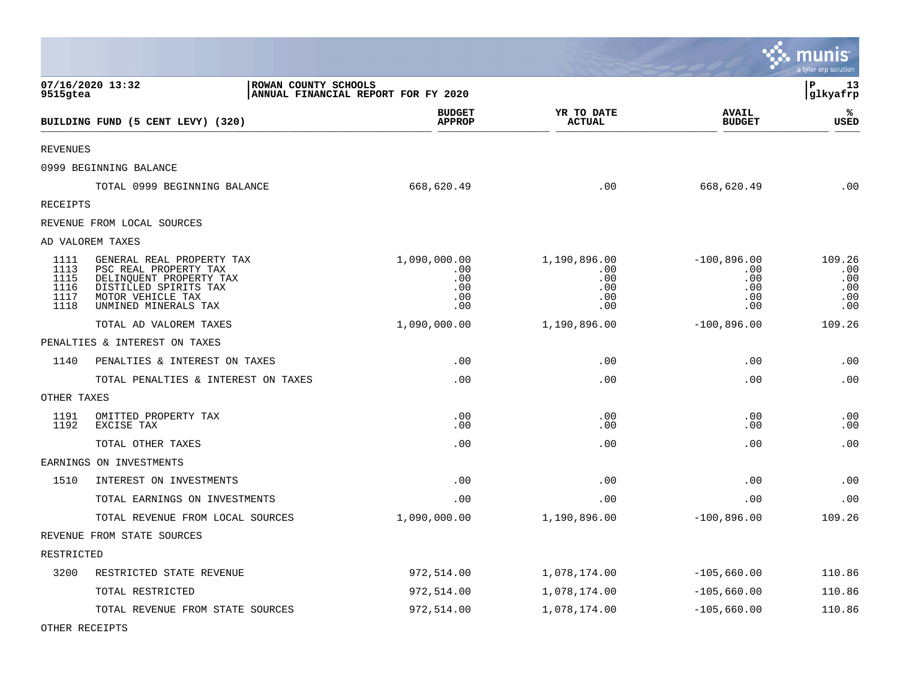|                                              |                                                                                                                                                     |                                                 |                                                 |                                                  | munis<br>a tyler erp solution             |
|----------------------------------------------|-----------------------------------------------------------------------------------------------------------------------------------------------------|-------------------------------------------------|-------------------------------------------------|--------------------------------------------------|-------------------------------------------|
| 9515gtea                                     | 07/16/2020 13:32<br>ROWAN COUNTY SCHOOLS                                                                                                            | ANNUAL FINANCIAL REPORT FOR FY 2020             |                                                 |                                                  | l P<br>13<br>glkyafrp                     |
|                                              | BUILDING FUND (5 CENT LEVY) (320)                                                                                                                   | <b>BUDGET</b><br><b>APPROP</b>                  | YR TO DATE<br><b>ACTUAL</b>                     | <b>AVAIL</b><br><b>BUDGET</b>                    | ℁<br><b>USED</b>                          |
| REVENUES                                     |                                                                                                                                                     |                                                 |                                                 |                                                  |                                           |
|                                              | 0999 BEGINNING BALANCE                                                                                                                              |                                                 |                                                 |                                                  |                                           |
|                                              | TOTAL 0999 BEGINNING BALANCE                                                                                                                        | 668,620.49                                      | .00                                             | 668,620.49                                       | .00                                       |
| <b>RECEIPTS</b>                              |                                                                                                                                                     |                                                 |                                                 |                                                  |                                           |
|                                              | REVENUE FROM LOCAL SOURCES                                                                                                                          |                                                 |                                                 |                                                  |                                           |
|                                              | AD VALOREM TAXES                                                                                                                                    |                                                 |                                                 |                                                  |                                           |
| 1111<br>1113<br>1115<br>1116<br>1117<br>1118 | GENERAL REAL PROPERTY TAX<br>PSC REAL PROPERTY TAX<br>DELINQUENT PROPERTY TAX<br>DISTILLED SPIRITS TAX<br>MOTOR VEHICLE TAX<br>UNMINED MINERALS TAX | 1,090,000.00<br>.00<br>.00<br>.00<br>.00<br>.00 | 1,190,896.00<br>.00<br>.00<br>.00<br>.00<br>.00 | $-100,896.00$<br>.00<br>.00<br>.00<br>.00<br>.00 | 109.26<br>.00<br>.00<br>.00<br>.00<br>.00 |
|                                              | TOTAL AD VALOREM TAXES                                                                                                                              | 1,090,000.00                                    | 1,190,896.00                                    | $-100,896.00$                                    | 109.26                                    |
|                                              | PENALTIES & INTEREST ON TAXES                                                                                                                       |                                                 |                                                 |                                                  |                                           |
| 1140                                         | PENALTIES & INTEREST ON TAXES                                                                                                                       | .00                                             | .00                                             | .00                                              | .00                                       |
|                                              | TOTAL PENALTIES & INTEREST ON TAXES                                                                                                                 | .00                                             | .00                                             | .00                                              | .00                                       |
| OTHER TAXES                                  |                                                                                                                                                     |                                                 |                                                 |                                                  |                                           |
| 1191<br>1192                                 | OMITTED PROPERTY TAX<br>EXCISE TAX                                                                                                                  | .00<br>.00                                      | .00<br>.00                                      | .00<br>.00                                       | .00<br>.00                                |
|                                              | TOTAL OTHER TAXES                                                                                                                                   | .00                                             | .00                                             | .00                                              | .00                                       |
|                                              | EARNINGS ON INVESTMENTS                                                                                                                             |                                                 |                                                 |                                                  |                                           |
| 1510                                         | INTEREST ON INVESTMENTS                                                                                                                             | .00                                             | .00                                             | .00                                              | .00                                       |
|                                              | TOTAL EARNINGS ON INVESTMENTS                                                                                                                       | .00                                             | .00                                             | .00                                              | .00                                       |
|                                              | TOTAL REVENUE FROM LOCAL SOURCES                                                                                                                    | 1,090,000.00                                    | 1,190,896.00                                    | $-100,896.00$                                    | 109.26                                    |
|                                              | REVENUE FROM STATE SOURCES                                                                                                                          |                                                 |                                                 |                                                  |                                           |
| RESTRICTED                                   |                                                                                                                                                     |                                                 |                                                 |                                                  |                                           |
| 3200                                         | RESTRICTED STATE REVENUE                                                                                                                            | 972,514.00                                      | 1,078,174.00                                    | $-105,660.00$                                    | 110.86                                    |
|                                              | TOTAL RESTRICTED                                                                                                                                    | 972,514.00                                      | 1,078,174.00                                    | $-105,660.00$                                    | 110.86                                    |
|                                              | TOTAL REVENUE FROM STATE SOURCES                                                                                                                    | 972,514.00                                      | 1,078,174.00                                    | $-105,660.00$                                    | 110.86                                    |

OTHER RECEIPTS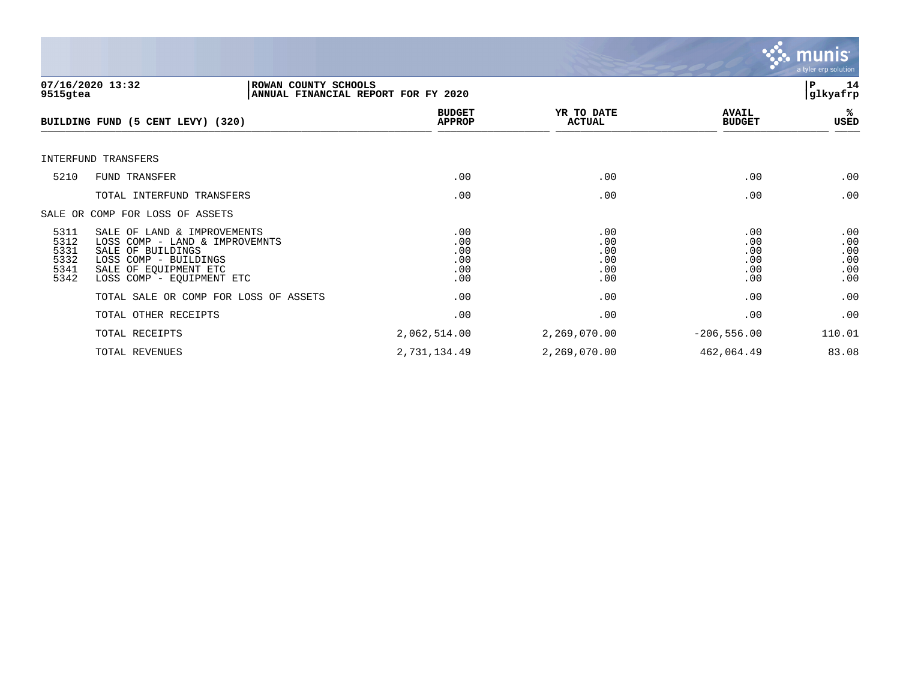

| 9515gtea                                     | 07/16/2020 13:32<br>ROWAN COUNTY SCHOOLS                                                                                                                          | ANNUAL FINANCIAL REPORT FOR FY 2020    |                                        |                                        | 14<br>l P<br> glkyafrp                 |
|----------------------------------------------|-------------------------------------------------------------------------------------------------------------------------------------------------------------------|----------------------------------------|----------------------------------------|----------------------------------------|----------------------------------------|
|                                              | BUILDING FUND (5 CENT LEVY) (320)                                                                                                                                 | <b>BUDGET</b><br><b>APPROP</b>         | YR TO DATE<br><b>ACTUAL</b>            | <b>AVAIL</b><br><b>BUDGET</b>          | %≽<br>USED                             |
|                                              | INTERFUND TRANSFERS                                                                                                                                               |                                        |                                        |                                        |                                        |
| 5210                                         | FUND TRANSFER                                                                                                                                                     | .00                                    | .00                                    | .00                                    | .00                                    |
|                                              | TOTAL INTERFUND TRANSFERS                                                                                                                                         | .00                                    | .00                                    | .00                                    | .00                                    |
|                                              | SALE OR COMP FOR LOSS OF ASSETS                                                                                                                                   |                                        |                                        |                                        |                                        |
| 5311<br>5312<br>5331<br>5332<br>5341<br>5342 | SALE OF LAND & IMPROVEMENTS<br>LOSS COMP - LAND & IMPROVEMNTS<br>SALE OF BUILDINGS<br>LOSS COMP - BUILDINGS<br>SALE OF EQUIPMENT ETC<br>LOSS COMP - EQUIPMENT ETC | .00<br>.00<br>.00<br>.00<br>.00<br>.00 | .00<br>.00<br>.00<br>.00<br>.00<br>.00 | .00<br>.00<br>.00<br>.00<br>.00<br>.00 | .00<br>.00<br>.00<br>.00<br>.00<br>.00 |
|                                              | TOTAL SALE OR COMP FOR LOSS OF ASSETS                                                                                                                             | .00                                    | .00                                    | .00                                    | .00                                    |
|                                              | TOTAL OTHER RECEIPTS                                                                                                                                              | .00                                    | .00                                    | .00                                    | .00                                    |
|                                              | TOTAL RECEIPTS                                                                                                                                                    | 2,062,514.00                           | 2,269,070.00                           | $-206,556.00$                          | 110.01                                 |
|                                              | TOTAL REVENUES                                                                                                                                                    | 2,731,134.49                           | 2,269,070.00                           | 462,064.49                             | 83.08                                  |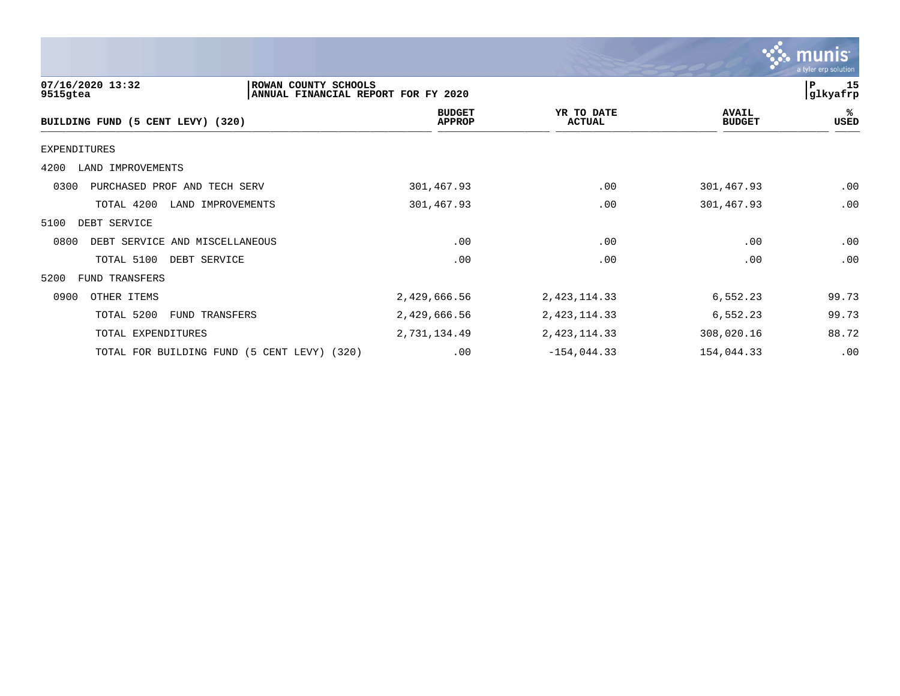|                                                      |                                     |                             |                               | <b>munis</b><br>a tyler erp solution |
|------------------------------------------------------|-------------------------------------|-----------------------------|-------------------------------|--------------------------------------|
| 07/16/2020 13:32<br>ROWAN COUNTY SCHOOLS<br>9515gtea | ANNUAL FINANCIAL REPORT FOR FY 2020 |                             |                               | 15<br>P<br>glkyafrp                  |
| BUILDING FUND (5 CENT LEVY) (320)                    | <b>BUDGET</b><br><b>APPROP</b>      | YR TO DATE<br><b>ACTUAL</b> | <b>AVAIL</b><br><b>BUDGET</b> | ℁<br><b>USED</b>                     |
| <b>EXPENDITURES</b>                                  |                                     |                             |                               |                                      |
| 4200<br>LAND IMPROVEMENTS                            |                                     |                             |                               |                                      |
| 0300<br>PURCHASED PROF AND TECH SERV                 | 301,467.93                          | .00                         | 301,467.93                    | .00                                  |
| TOTAL 4200<br>LAND IMPROVEMENTS                      | 301,467.93                          | .00                         | 301,467.93                    | .00                                  |
| DEBT SERVICE<br>5100                                 |                                     |                             |                               |                                      |
| 0800<br>DEBT SERVICE AND MISCELLANEOUS               | .00                                 | .00                         | .00                           | .00                                  |
| TOTAL 5100<br>DEBT SERVICE                           | .00                                 | .00                         | .00                           | .00                                  |
| 5200<br>FUND TRANSFERS                               |                                     |                             |                               |                                      |
| 0900<br>OTHER ITEMS                                  | 2,429,666.56                        | 2, 423, 114.33              | 6,552.23                      | 99.73                                |
| TOTAL 5200<br>FUND TRANSFERS                         | 2,429,666.56                        | 2, 423, 114.33              | 6,552.23                      | 99.73                                |
| TOTAL EXPENDITURES                                   | 2,731,134.49                        | 2, 423, 114.33              | 308,020.16                    | 88.72                                |
| TOTAL FOR BUILDING FUND (5 CENT LEVY)<br>(320)       | .00                                 | $-154,044.33$               | 154,044.33                    | .00                                  |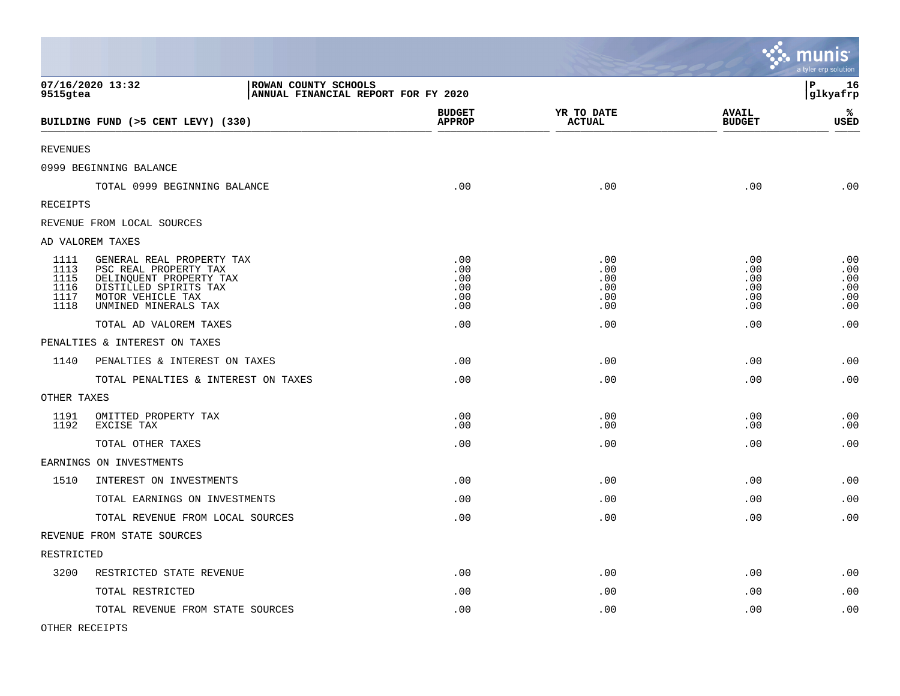|                                              |                                                                                                                                                     |                                        |                                        |                                        | munis<br>a tyler erp solution          |
|----------------------------------------------|-----------------------------------------------------------------------------------------------------------------------------------------------------|----------------------------------------|----------------------------------------|----------------------------------------|----------------------------------------|
| 9515gtea                                     | 07/16/2020 13:32<br>ROWAN COUNTY SCHOOLS<br>ANNUAL FINANCIAL REPORT FOR FY 2020                                                                     |                                        |                                        |                                        | P<br>16<br>glkyafrp                    |
|                                              | BUILDING FUND (>5 CENT LEVY) (330)                                                                                                                  | <b>BUDGET</b><br><b>APPROP</b>         | YR TO DATE<br><b>ACTUAL</b>            | <b>AVAIL</b><br><b>BUDGET</b>          | %<br><b>USED</b>                       |
| <b>REVENUES</b>                              |                                                                                                                                                     |                                        |                                        |                                        |                                        |
|                                              | 0999 BEGINNING BALANCE                                                                                                                              |                                        |                                        |                                        |                                        |
|                                              | TOTAL 0999 BEGINNING BALANCE                                                                                                                        | .00                                    | .00                                    | .00                                    | .00                                    |
| RECEIPTS                                     |                                                                                                                                                     |                                        |                                        |                                        |                                        |
|                                              | REVENUE FROM LOCAL SOURCES                                                                                                                          |                                        |                                        |                                        |                                        |
|                                              | AD VALOREM TAXES                                                                                                                                    |                                        |                                        |                                        |                                        |
| 1111<br>1113<br>1115<br>1116<br>1117<br>1118 | GENERAL REAL PROPERTY TAX<br>PSC REAL PROPERTY TAX<br>DELINQUENT PROPERTY TAX<br>DISTILLED SPIRITS TAX<br>MOTOR VEHICLE TAX<br>UNMINED MINERALS TAX | .00<br>.00<br>.00<br>.00<br>.00<br>.00 | .00<br>.00<br>.00<br>.00<br>.00<br>.00 | .00<br>.00<br>.00<br>.00<br>.00<br>.00 | .00<br>.00<br>.00<br>.00<br>.00<br>.00 |
|                                              | TOTAL AD VALOREM TAXES                                                                                                                              | .00                                    | .00                                    | .00                                    | .00                                    |
|                                              | PENALTIES & INTEREST ON TAXES                                                                                                                       |                                        |                                        |                                        |                                        |
| 1140                                         | PENALTIES & INTEREST ON TAXES                                                                                                                       | .00                                    | .00                                    | .00                                    | .00                                    |
|                                              | TOTAL PENALTIES & INTEREST ON TAXES                                                                                                                 | .00                                    | .00                                    | .00                                    | .00                                    |
| OTHER TAXES                                  |                                                                                                                                                     |                                        |                                        |                                        |                                        |
| 1191<br>1192                                 | OMITTED PROPERTY TAX<br>EXCISE TAX                                                                                                                  | .00<br>.00                             | .00<br>.00                             | .00<br>.00                             | .00<br>.00                             |
|                                              | TOTAL OTHER TAXES                                                                                                                                   | .00                                    | .00                                    | .00                                    | .00                                    |
|                                              | EARNINGS ON INVESTMENTS                                                                                                                             |                                        |                                        |                                        |                                        |
| 1510                                         | INTEREST ON INVESTMENTS                                                                                                                             | .00                                    | .00                                    | .00                                    | .00                                    |
|                                              | TOTAL EARNINGS ON INVESTMENTS                                                                                                                       | .00                                    | .00                                    | .00                                    | .00                                    |
|                                              | TOTAL REVENUE FROM LOCAL SOURCES                                                                                                                    | .00                                    | .00                                    | .00                                    | .00                                    |
|                                              | REVENUE FROM STATE SOURCES                                                                                                                          |                                        |                                        |                                        |                                        |
| RESTRICTED                                   |                                                                                                                                                     |                                        |                                        |                                        |                                        |
| 3200                                         | RESTRICTED STATE REVENUE                                                                                                                            | .00                                    | .00                                    | .00                                    | .00                                    |
|                                              | TOTAL RESTRICTED                                                                                                                                    | .00                                    | .00                                    | .00                                    | .00                                    |
|                                              | TOTAL REVENUE FROM STATE SOURCES                                                                                                                    | .00                                    | .00                                    | .00                                    | .00                                    |

OTHER RECEIPTS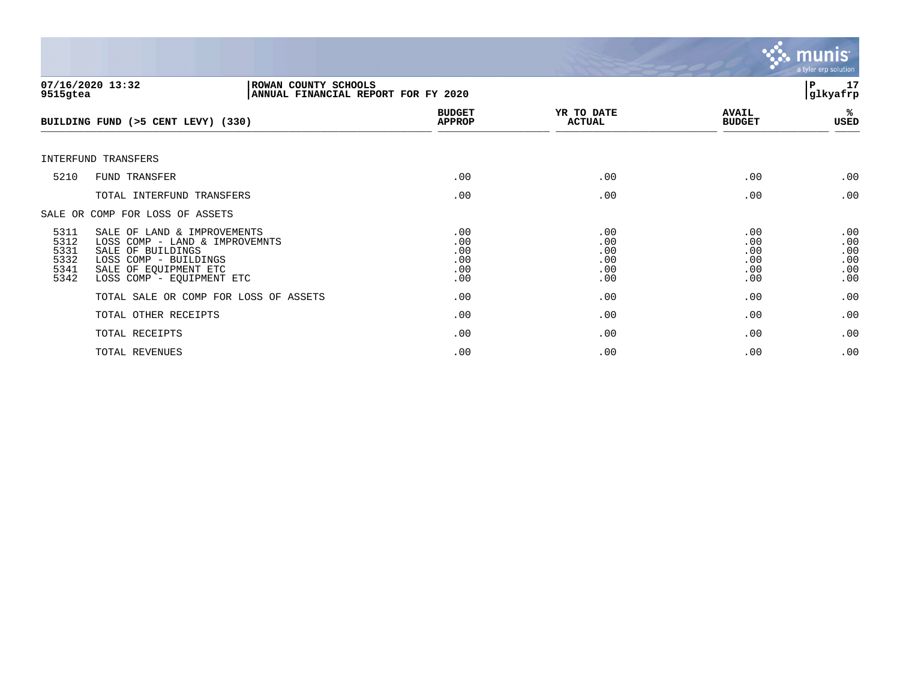

| 9515gtea                                     | 07/16/2020 13:32<br>ROWAN COUNTY SCHOOLS<br>ANNUAL FINANCIAL REPORT FOR FY 2020                                                                                   |                                        |                                        |                                        | 17<br>P<br>glkyafrp                    |
|----------------------------------------------|-------------------------------------------------------------------------------------------------------------------------------------------------------------------|----------------------------------------|----------------------------------------|----------------------------------------|----------------------------------------|
|                                              | BUILDING FUND (>5 CENT LEVY) (330)                                                                                                                                | <b>BUDGET</b><br><b>APPROP</b>         | YR TO DATE<br><b>ACTUAL</b>            | <b>AVAIL</b><br><b>BUDGET</b>          | %ะ<br>USED                             |
|                                              | INTERFUND TRANSFERS                                                                                                                                               |                                        |                                        |                                        |                                        |
| 5210                                         | <b>FUND TRANSFER</b>                                                                                                                                              | .00                                    | .00                                    | .00                                    | .00                                    |
|                                              | TOTAL INTERFUND TRANSFERS                                                                                                                                         | .00                                    | .00                                    | .00                                    | .00                                    |
|                                              | SALE OR COMP FOR LOSS OF ASSETS                                                                                                                                   |                                        |                                        |                                        |                                        |
| 5311<br>5312<br>5331<br>5332<br>5341<br>5342 | SALE OF LAND & IMPROVEMENTS<br>LOSS COMP - LAND & IMPROVEMNTS<br>SALE OF BUILDINGS<br>LOSS COMP - BUILDINGS<br>SALE OF EQUIPMENT ETC<br>LOSS COMP - EQUIPMENT ETC | .00<br>.00<br>.00<br>.00<br>.00<br>.00 | .00<br>.00<br>.00<br>.00<br>.00<br>.00 | .00<br>.00<br>.00<br>.00<br>.00<br>.00 | .00<br>.00<br>.00<br>.00<br>.00<br>.00 |
|                                              | TOTAL SALE OR COMP FOR LOSS OF ASSETS                                                                                                                             | .00                                    | .00                                    | .00                                    | .00                                    |
|                                              | TOTAL OTHER RECEIPTS                                                                                                                                              | .00                                    | .00                                    | .00                                    | .00                                    |
|                                              | TOTAL RECEIPTS                                                                                                                                                    | .00                                    | .00                                    | .00                                    | .00                                    |
|                                              | TOTAL REVENUES                                                                                                                                                    | .00                                    | .00                                    | .00                                    | .00                                    |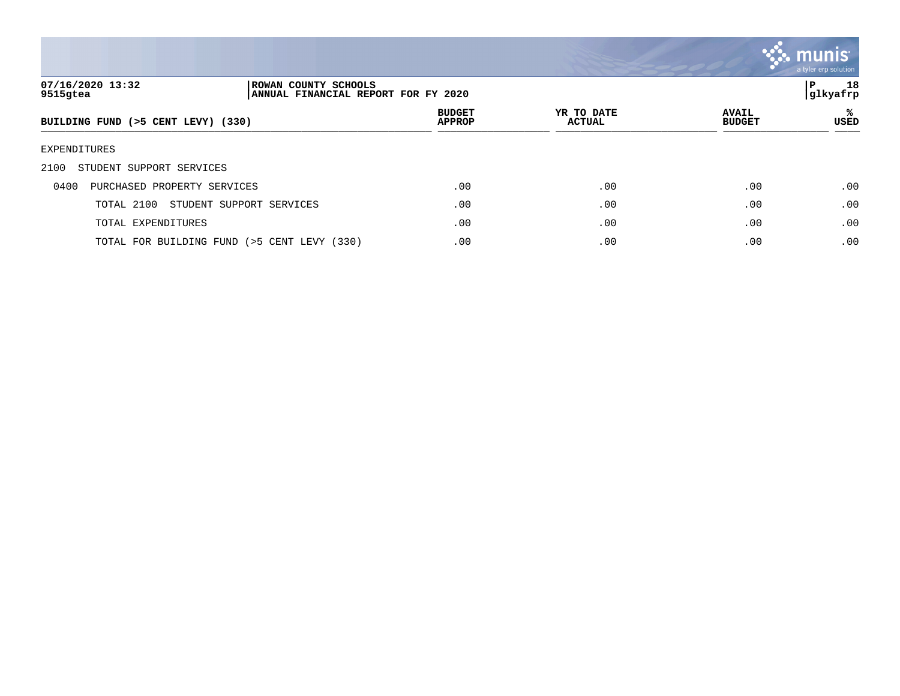

| 07/16/2020 13:32<br>9515gtea        | ROWAN COUNTY SCHOOLS<br>ANNUAL FINANCIAL REPORT FOR FY 2020 |                                |                             |                               | 18<br>P<br> glkyafrp |
|-------------------------------------|-------------------------------------------------------------|--------------------------------|-----------------------------|-------------------------------|----------------------|
| BUILDING FUND (>5 CENT LEVY) (330)  |                                                             | <b>BUDGET</b><br><b>APPROP</b> | YR TO DATE<br><b>ACTUAL</b> | <b>AVAIL</b><br><b>BUDGET</b> | %ะ<br><b>USED</b>    |
| EXPENDITURES                        |                                                             |                                |                             |                               |                      |
| STUDENT SUPPORT SERVICES<br>2100    |                                                             |                                |                             |                               |                      |
| PURCHASED PROPERTY SERVICES<br>0400 |                                                             | .00                            | .00                         | .00                           | .00                  |
| TOTAL 2100                          | STUDENT SUPPORT SERVICES                                    | .00                            | .00                         | .00                           | .00                  |
| TOTAL EXPENDITURES                  |                                                             | .00                            | .00                         | .00                           | .00                  |
|                                     | TOTAL FOR BUILDING FUND (>5 CENT LEVY (330)                 | .00                            | .00                         | .00                           | .00                  |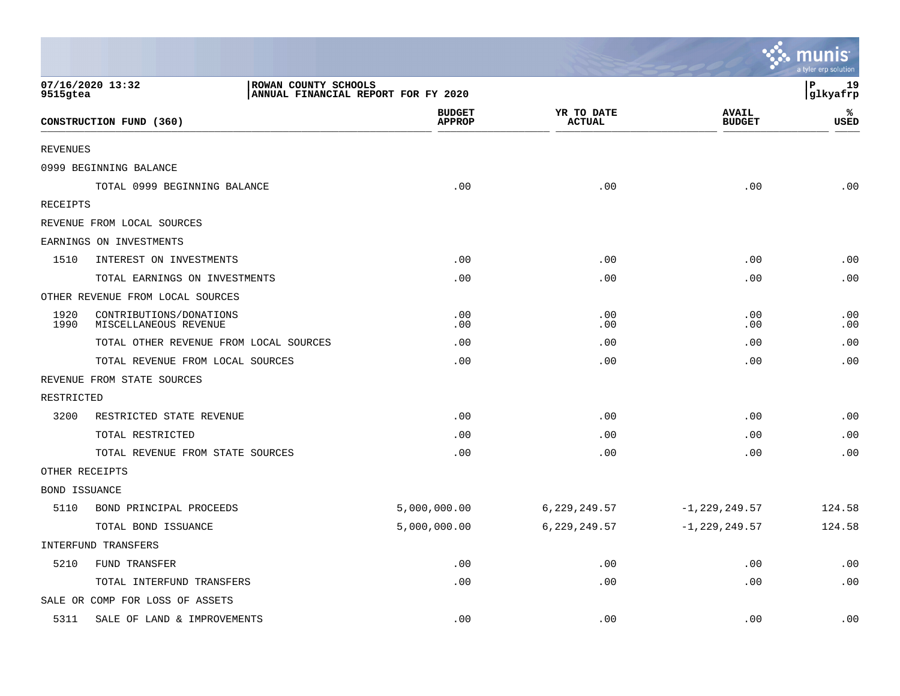|                      |                                                                                 |                                |                             |                               | $\ddotsc$ munis<br>a tyler erp solution |
|----------------------|---------------------------------------------------------------------------------|--------------------------------|-----------------------------|-------------------------------|-----------------------------------------|
| 9515gtea             | 07/16/2020 13:32<br>ROWAN COUNTY SCHOOLS<br>ANNUAL FINANCIAL REPORT FOR FY 2020 |                                |                             |                               | ΙP<br>19<br>glkyafrp                    |
|                      | CONSTRUCTION FUND (360)                                                         | <b>BUDGET</b><br><b>APPROP</b> | YR TO DATE<br><b>ACTUAL</b> | <b>AVAIL</b><br><b>BUDGET</b> | ℁<br><b>USED</b>                        |
| <b>REVENUES</b>      |                                                                                 |                                |                             |                               |                                         |
|                      | 0999 BEGINNING BALANCE                                                          |                                |                             |                               |                                         |
|                      | TOTAL 0999 BEGINNING BALANCE                                                    | .00                            | .00                         | .00                           | .00                                     |
| RECEIPTS             |                                                                                 |                                |                             |                               |                                         |
|                      | REVENUE FROM LOCAL SOURCES                                                      |                                |                             |                               |                                         |
|                      | EARNINGS ON INVESTMENTS                                                         |                                |                             |                               |                                         |
| 1510                 | INTEREST ON INVESTMENTS                                                         | .00                            | .00                         | .00                           | .00                                     |
|                      | TOTAL EARNINGS ON INVESTMENTS                                                   | .00                            | .00                         | .00                           | .00                                     |
|                      | OTHER REVENUE FROM LOCAL SOURCES                                                |                                |                             |                               |                                         |
| 1920<br>1990         | CONTRIBUTIONS/DONATIONS<br>MISCELLANEOUS REVENUE                                | .00<br>.00                     | .00<br>.00                  | .00<br>.00                    | .00<br>.00                              |
|                      | TOTAL OTHER REVENUE FROM LOCAL SOURCES                                          | .00                            | .00                         | .00                           | .00                                     |
|                      | TOTAL REVENUE FROM LOCAL SOURCES                                                | .00                            | .00                         | .00                           | .00                                     |
|                      | REVENUE FROM STATE SOURCES                                                      |                                |                             |                               |                                         |
| RESTRICTED           |                                                                                 |                                |                             |                               |                                         |
| 3200                 | RESTRICTED STATE REVENUE                                                        | .00                            | .00                         | .00                           | .00                                     |
|                      | TOTAL RESTRICTED                                                                | .00                            | .00                         | .00                           | .00                                     |
|                      | TOTAL REVENUE FROM STATE SOURCES                                                | .00                            | .00                         | .00                           | .00                                     |
| OTHER RECEIPTS       |                                                                                 |                                |                             |                               |                                         |
| <b>BOND ISSUANCE</b> |                                                                                 |                                |                             |                               |                                         |
| 5110                 | BOND PRINCIPAL PROCEEDS                                                         | 5,000,000.00                   | 6, 229, 249.57              | $-1, 229, 249.57$             | 124.58                                  |
|                      | TOTAL BOND ISSUANCE                                                             | 5,000,000.00                   | 6,229,249.57                | $-1, 229, 249.57$             | 124.58                                  |
|                      | INTERFUND TRANSFERS                                                             |                                |                             |                               |                                         |
| 5210                 | FUND TRANSFER                                                                   | .00                            | .00                         | .00                           | .00                                     |
|                      | TOTAL INTERFUND TRANSFERS                                                       | .00                            | .00                         | .00                           | .00                                     |
|                      | SALE OR COMP FOR LOSS OF ASSETS                                                 |                                |                             |                               |                                         |
| 5311                 | SALE OF LAND & IMPROVEMENTS                                                     | .00                            | .00                         | .00                           | .00                                     |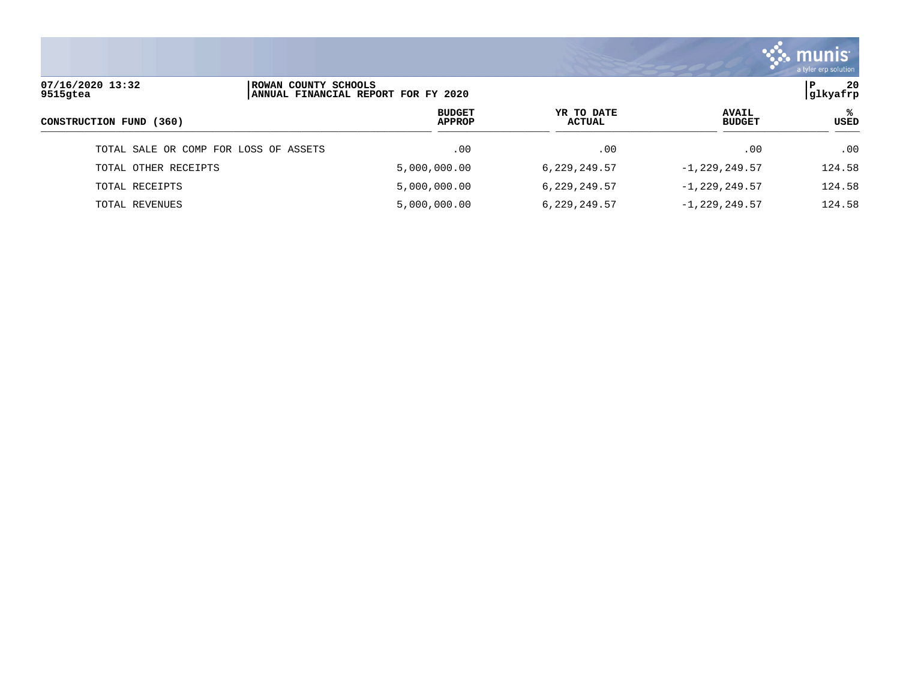

| 07/16/2020 13:32<br>ROWAN COUNTY SCHOOLS<br>ANNUAL FINANCIAL REPORT FOR FY 2020<br>9515gtea |  |                                |                      | -20<br>P<br>glkyafrp          |                  |
|---------------------------------------------------------------------------------------------|--|--------------------------------|----------------------|-------------------------------|------------------|
| CONSTRUCTION FUND (360)                                                                     |  | <b>BUDGET</b><br><b>APPROP</b> | YR TO DATE<br>ACTUAL | <b>AVAIL</b><br><b>BUDGET</b> | ℁<br><b>USED</b> |
| TOTAL SALE OR COMP FOR LOSS OF ASSETS                                                       |  | .00                            | .00                  | .00                           | .00              |
| TOTAL OTHER RECEIPTS                                                                        |  | 5,000,000.00                   | 6,229,249.57         | $-1, 229, 249.57$             | 124.58           |
| TOTAL RECEIPTS                                                                              |  | 5,000,000.00                   | 6,229,249.57         | $-1, 229, 249.57$             | 124.58           |
| TOTAL REVENUES                                                                              |  | 5,000,000.00                   | 6,229,249.57         | $-1, 229, 249.57$             | 124.58           |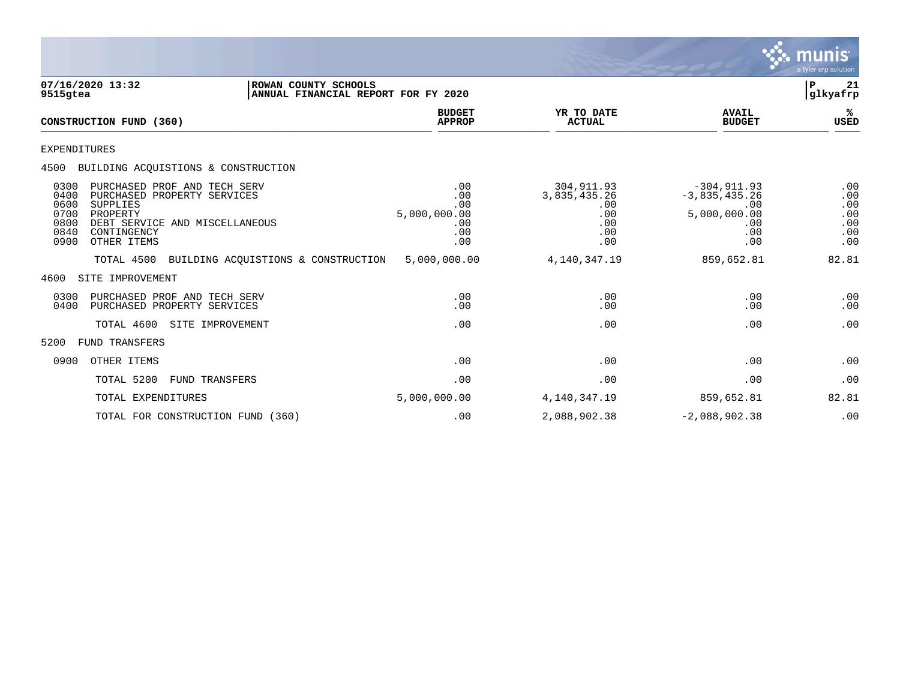

| 9515gtea                                             | 07/16/2020 13:32                                                                                                                                           | ROWAN COUNTY SCHOOLS<br>ANNUAL FINANCIAL REPORT FOR FY 2020 |                                                        |                                                               |                                                                               | ${\bf P}$<br>21<br>glkyafrp                   |
|------------------------------------------------------|------------------------------------------------------------------------------------------------------------------------------------------------------------|-------------------------------------------------------------|--------------------------------------------------------|---------------------------------------------------------------|-------------------------------------------------------------------------------|-----------------------------------------------|
|                                                      | CONSTRUCTION FUND (360)                                                                                                                                    |                                                             | <b>BUDGET</b><br><b>APPROP</b>                         | YR TO DATE<br><b>ACTUAL</b>                                   | <b>AVAIL</b><br><b>BUDGET</b>                                                 | ℁<br><b>USED</b>                              |
| <b>EXPENDITURES</b>                                  |                                                                                                                                                            |                                                             |                                                        |                                                               |                                                                               |                                               |
| 4500                                                 | BUILDING ACQUISTIONS & CONSTRUCTION                                                                                                                        |                                                             |                                                        |                                                               |                                                                               |                                               |
| 0300<br>0400<br>0600<br>0700<br>0800<br>0840<br>0900 | PURCHASED PROF AND TECH SERV<br>PURCHASED PROPERTY SERVICES<br><b>SUPPLIES</b><br>PROPERTY<br>DEBT SERVICE AND MISCELLANEOUS<br>CONTINGENCY<br>OTHER ITEMS |                                                             | .00<br>.00<br>.00<br>5,000,000.00<br>.00<br>.00<br>.00 | 304,911.93<br>3,835,435.26<br>.00<br>.00<br>.00<br>.00<br>.00 | $-304, 911.93$<br>$-3,835,435.26$<br>.00<br>5,000,000.00<br>.00<br>.00<br>.00 | .00<br>.00<br>.00<br>.00<br>.00<br>.00<br>.00 |
|                                                      | TOTAL 4500                                                                                                                                                 | BUILDING ACQUISTIONS & CONSTRUCTION                         | 5,000,000.00                                           | 4, 140, 347. 19                                               | 859,652.81                                                                    | 82.81                                         |
| 4600                                                 | SITE IMPROVEMENT                                                                                                                                           |                                                             |                                                        |                                                               |                                                                               |                                               |
| 0300<br>0400                                         | PURCHASED PROF AND TECH SERV<br>PURCHASED PROPERTY SERVICES                                                                                                |                                                             | .00<br>.00                                             | .00<br>.00                                                    | .00<br>.00                                                                    | .00<br>.00                                    |
|                                                      | TOTAL 4600<br>SITE IMPROVEMENT                                                                                                                             |                                                             | .00                                                    | .00                                                           | .00                                                                           | .00                                           |
| 5200                                                 | FUND TRANSFERS                                                                                                                                             |                                                             |                                                        |                                                               |                                                                               |                                               |
| 0900                                                 | OTHER ITEMS                                                                                                                                                |                                                             | .00                                                    | .00                                                           | .00                                                                           | .00                                           |
|                                                      | TOTAL 5200<br>FUND TRANSFERS                                                                                                                               |                                                             | .00                                                    | .00                                                           | .00                                                                           | .00                                           |
|                                                      | TOTAL EXPENDITURES                                                                                                                                         |                                                             | 5,000,000.00                                           | 4, 140, 347. 19                                               | 859,652.81                                                                    | 82.81                                         |
|                                                      | TOTAL FOR CONSTRUCTION FUND (360)                                                                                                                          |                                                             | .00                                                    | 2,088,902.38                                                  | $-2,088,902.38$                                                               | .00                                           |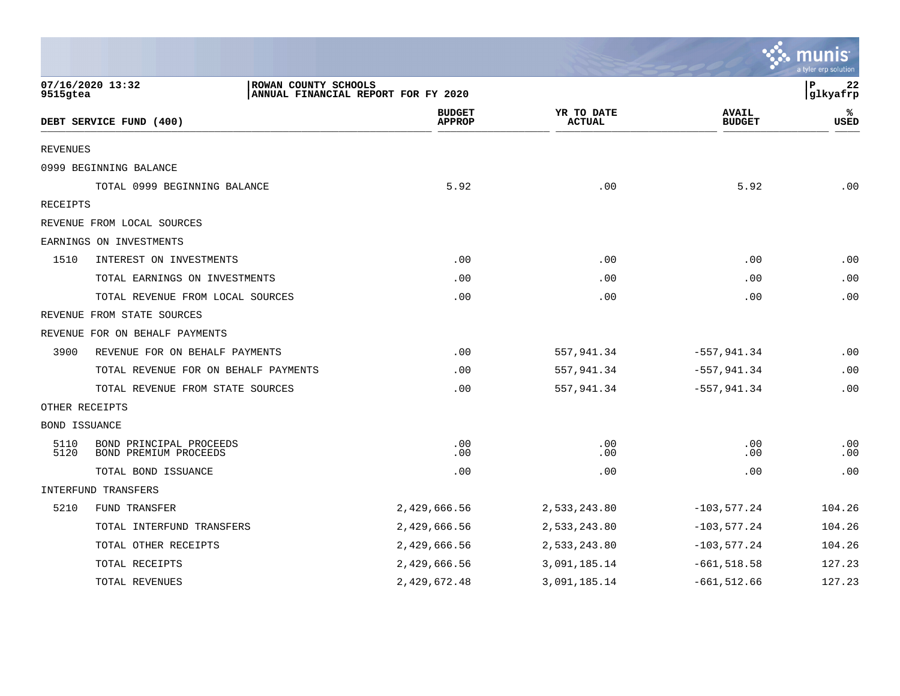|                 |                                                  |                                     |                             |                               | <b>RA munis</b><br>a tyler erp solution |
|-----------------|--------------------------------------------------|-------------------------------------|-----------------------------|-------------------------------|-----------------------------------------|
| 9515gtea        | 07/16/2020 13:32<br>ROWAN COUNTY SCHOOLS         | ANNUAL FINANCIAL REPORT FOR FY 2020 |                             |                               | l P<br>22<br>glkyafrp                   |
|                 | DEBT SERVICE FUND (400)                          | <b>BUDGET</b><br><b>APPROP</b>      | YR TO DATE<br><b>ACTUAL</b> | <b>AVAIL</b><br><b>BUDGET</b> | ℁<br>USED                               |
| <b>REVENUES</b> |                                                  |                                     |                             |                               |                                         |
|                 | 0999 BEGINNING BALANCE                           |                                     |                             |                               |                                         |
|                 | TOTAL 0999 BEGINNING BALANCE                     | 5.92                                | .00                         | 5.92                          | .00                                     |
| RECEIPTS        |                                                  |                                     |                             |                               |                                         |
|                 | REVENUE FROM LOCAL SOURCES                       |                                     |                             |                               |                                         |
|                 | EARNINGS ON INVESTMENTS                          |                                     |                             |                               |                                         |
| 1510            | INTEREST ON INVESTMENTS                          | .00                                 | .00                         | .00                           | .00                                     |
|                 | TOTAL EARNINGS ON INVESTMENTS                    | .00                                 | .00                         | .00                           | .00                                     |
|                 | TOTAL REVENUE FROM LOCAL SOURCES                 | .00                                 | .00                         | .00                           | .00                                     |
|                 | REVENUE FROM STATE SOURCES                       |                                     |                             |                               |                                         |
|                 | REVENUE FOR ON BEHALF PAYMENTS                   |                                     |                             |                               |                                         |
| 3900            | REVENUE FOR ON BEHALF PAYMENTS                   | .00                                 | 557,941.34                  | $-557, 941.34$                | .00                                     |
|                 | TOTAL REVENUE FOR ON BEHALF PAYMENTS             | .00                                 | 557,941.34                  | $-557, 941.34$                | .00                                     |
|                 | TOTAL REVENUE FROM STATE SOURCES                 | .00                                 | 557,941.34                  | $-557, 941.34$                | .00                                     |
| OTHER RECEIPTS  |                                                  |                                     |                             |                               |                                         |
| BOND ISSUANCE   |                                                  |                                     |                             |                               |                                         |
| 5110<br>5120    | BOND PRINCIPAL PROCEEDS<br>BOND PREMIUM PROCEEDS | .00<br>.00                          | .00<br>.00                  | .00<br>.00                    | .00<br>.00                              |
|                 | TOTAL BOND ISSUANCE                              | .00                                 | .00                         | .00                           | .00                                     |
|                 | INTERFUND TRANSFERS                              |                                     |                             |                               |                                         |
| 5210            | FUND TRANSFER                                    | 2,429,666.56                        | 2,533,243.80                | $-103, 577.24$                | 104.26                                  |
|                 | TOTAL INTERFUND TRANSFERS                        | 2,429,666.56                        | 2,533,243.80                | $-103, 577.24$                | 104.26                                  |
|                 | TOTAL OTHER RECEIPTS                             | 2,429,666.56                        | 2,533,243.80                | $-103,577.24$                 | 104.26                                  |
|                 | TOTAL RECEIPTS                                   | 2,429,666.56                        | 3,091,185.14                | $-661, 518.58$                | 127.23                                  |
|                 | TOTAL REVENUES                                   | 2,429,672.48                        | 3,091,185.14                | $-661, 512.66$                | 127.23                                  |

the contract of the contract of the contract of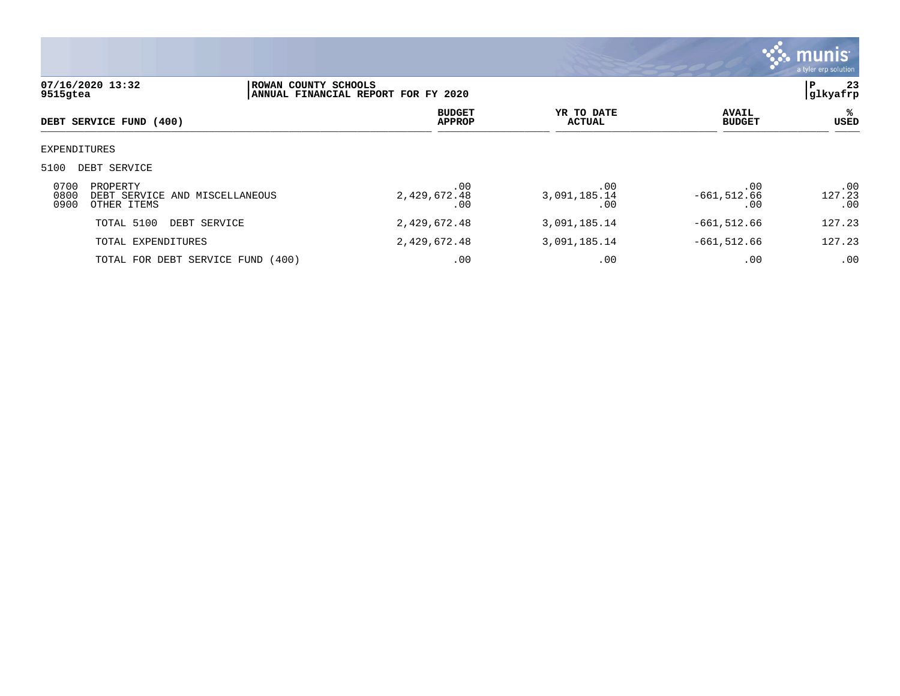

| 07/16/2020 13:32<br>9515gtea |                                                           | ROWAN COUNTY SCHOOLS<br>ANNUAL FINANCIAL REPORT FOR FY 2020 |                                |                             |                               | 23<br>l P<br> glkyafrp |
|------------------------------|-----------------------------------------------------------|-------------------------------------------------------------|--------------------------------|-----------------------------|-------------------------------|------------------------|
|                              | DEBT SERVICE FUND (400)                                   |                                                             | <b>BUDGET</b><br><b>APPROP</b> | YR TO DATE<br><b>ACTUAL</b> | <b>AVAIL</b><br><b>BUDGET</b> | ℁<br>USED              |
| EXPENDITURES                 |                                                           |                                                             |                                |                             |                               |                        |
| 5100                         | DEBT SERVICE                                              |                                                             |                                |                             |                               |                        |
| 0700<br>0800<br>0900         | PROPERTY<br>DEBT SERVICE AND MISCELLANEOUS<br>OTHER ITEMS |                                                             | .00<br>2,429,672.48<br>.00     | .00<br>3,091,185.14<br>.00  | .00<br>$-661, 512.66$<br>.00  | .00<br>127.23<br>.00   |
|                              | TOTAL 5100<br>DEBT SERVICE                                |                                                             | 2,429,672.48                   | 3,091,185.14                | $-661,512.66$                 | 127.23                 |
|                              | TOTAL EXPENDITURES                                        |                                                             | 2,429,672.48                   | 3,091,185.14                | $-661,512.66$                 | 127.23                 |
|                              | TOTAL FOR DEBT SERVICE FUND (400)                         |                                                             | .00                            | .00                         | .00                           | .00                    |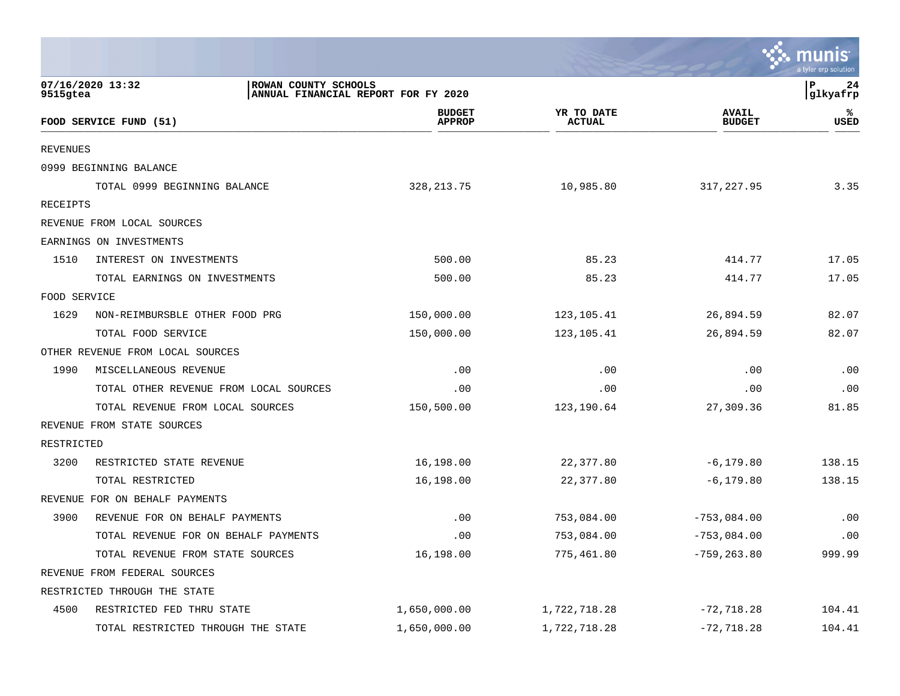|                 |                                                                                 |                                |                             |                               | munis<br>a tyler erp solution |
|-----------------|---------------------------------------------------------------------------------|--------------------------------|-----------------------------|-------------------------------|-------------------------------|
| 9515gtea        | 07/16/2020 13:32<br>ROWAN COUNTY SCHOOLS<br>ANNUAL FINANCIAL REPORT FOR FY 2020 |                                |                             |                               | l P<br>24<br> glkyafrp        |
|                 | FOOD SERVICE FUND (51)                                                          | <b>BUDGET</b><br><b>APPROP</b> | YR TO DATE<br><b>ACTUAL</b> | <b>AVAIL</b><br><b>BUDGET</b> | ℁<br><b>USED</b>              |
| <b>REVENUES</b> |                                                                                 |                                |                             |                               |                               |
|                 | 0999 BEGINNING BALANCE                                                          |                                |                             |                               |                               |
|                 | TOTAL 0999 BEGINNING BALANCE                                                    | 328, 213. 75                   | 10,985.80                   | 317,227.95                    | 3.35                          |
| RECEIPTS        |                                                                                 |                                |                             |                               |                               |
|                 | REVENUE FROM LOCAL SOURCES                                                      |                                |                             |                               |                               |
|                 | EARNINGS ON INVESTMENTS                                                         |                                |                             |                               |                               |
| 1510            | INTEREST ON INVESTMENTS                                                         | 500.00                         | 85.23                       | 414.77                        | 17.05                         |
|                 | TOTAL EARNINGS ON INVESTMENTS                                                   | 500.00                         | 85.23                       | 414.77                        | 17.05                         |
| FOOD SERVICE    |                                                                                 |                                |                             |                               |                               |
| 1629            | NON-REIMBURSBLE OTHER FOOD PRG                                                  | 150,000.00                     | 123,105.41                  | 26,894.59                     | 82.07                         |
|                 | TOTAL FOOD SERVICE                                                              | 150,000.00                     | 123,105.41                  | 26,894.59                     | 82.07                         |
|                 | OTHER REVENUE FROM LOCAL SOURCES                                                |                                |                             |                               |                               |
| 1990            | MISCELLANEOUS REVENUE                                                           | .00                            | .00                         | .00                           | .00                           |
|                 | TOTAL OTHER REVENUE FROM LOCAL SOURCES                                          | .00                            | .00                         | .00                           | .00                           |
|                 | TOTAL REVENUE FROM LOCAL SOURCES                                                | 150,500.00                     | 123,190.64                  | 27,309.36                     | 81.85                         |
|                 | REVENUE FROM STATE SOURCES                                                      |                                |                             |                               |                               |
| RESTRICTED      |                                                                                 |                                |                             |                               |                               |
| 3200            | RESTRICTED STATE REVENUE                                                        | 16,198.00                      | 22,377.80                   | $-6, 179.80$                  | 138.15                        |
|                 | TOTAL RESTRICTED                                                                | 16,198.00                      | 22,377.80                   | $-6, 179.80$                  | 138.15                        |
|                 | REVENUE FOR ON BEHALF PAYMENTS                                                  |                                |                             |                               |                               |
| 3900            | REVENUE FOR ON BEHALF PAYMENTS                                                  | .00                            | 753,084.00                  | $-753,084.00$                 | .00                           |
|                 | TOTAL REVENUE FOR ON BEHALF PAYMENTS                                            | .00                            | 753,084.00                  | $-753,084.00$                 | .00                           |
|                 | TOTAL REVENUE FROM STATE SOURCES                                                | 16,198.00                      | 775,461.80                  | $-759, 263.80$                | 999.99                        |
|                 | REVENUE FROM FEDERAL SOURCES                                                    |                                |                             |                               |                               |
|                 | RESTRICTED THROUGH THE STATE                                                    |                                |                             |                               |                               |
| 4500            | RESTRICTED FED THRU STATE                                                       | 1,650,000.00                   | 1,722,718.28                | $-72, 718.28$                 | 104.41                        |
|                 | TOTAL RESTRICTED THROUGH THE STATE                                              | 1,650,000.00                   | 1,722,718.28                | $-72,718.28$                  | 104.41                        |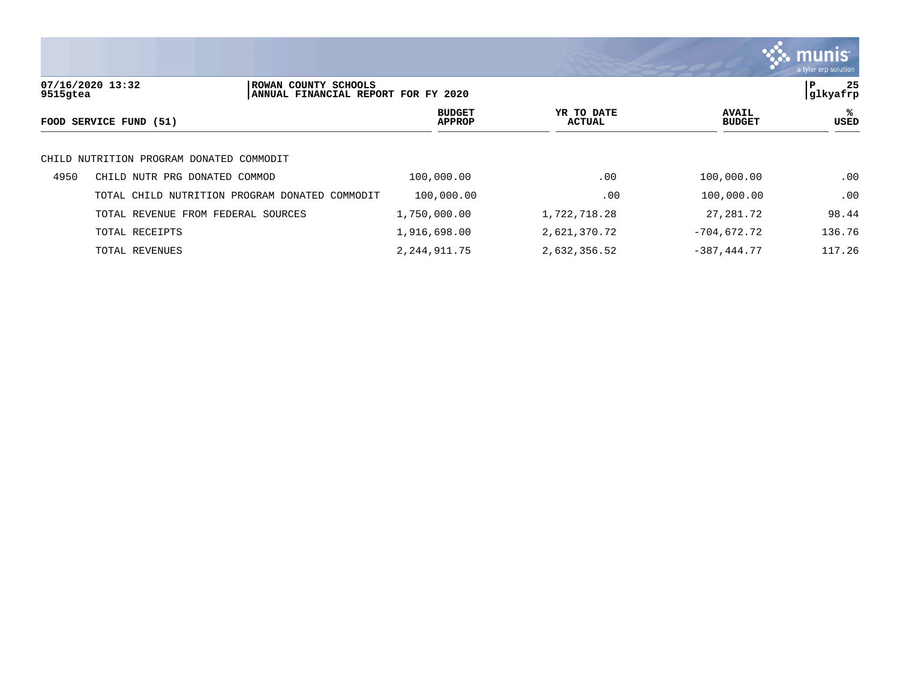

| 9515gtea | 07/16/2020 13:32                         | ROWAN COUNTY SCHOOLS<br>ANNUAL FINANCIAL REPORT FOR FY 2020 |                 |                                |                      |                               | 25<br>∣P<br> glkyafrp |
|----------|------------------------------------------|-------------------------------------------------------------|-----------------|--------------------------------|----------------------|-------------------------------|-----------------------|
|          | FOOD SERVICE FUND (51)                   |                                                             |                 | <b>BUDGET</b><br><b>APPROP</b> | YR TO DATE<br>ACTUAL | <b>AVAIL</b><br><b>BUDGET</b> | ℁<br>USED             |
|          | CHILD NUTRITION PROGRAM DONATED COMMODIT |                                                             |                 |                                |                      |                               |                       |
| 4950     | CHILD NUTR PRG DONATED COMMOD            |                                                             | 100,000.00      |                                | .00                  | 100,000.00                    | .00                   |
|          | TOTAL CHILD NUTRITION PROGRAM DONATED    | COMMODIT                                                    | 100,000.00      |                                | .00                  | 100,000.00                    | .00                   |
|          | TOTAL REVENUE FROM FEDERAL SOURCES       |                                                             | 1,750,000.00    |                                | 1,722,718.28         | 27,281.72                     | 98.44                 |
|          | TOTAL RECEIPTS                           |                                                             | 1,916,698.00    |                                | 2,621,370.72         | $-704,672.72$                 | 136.76                |
|          | TOTAL REVENUES                           |                                                             | 2, 244, 911. 75 |                                | 2,632,356.52         | $-387, 444.77$                | 117.26                |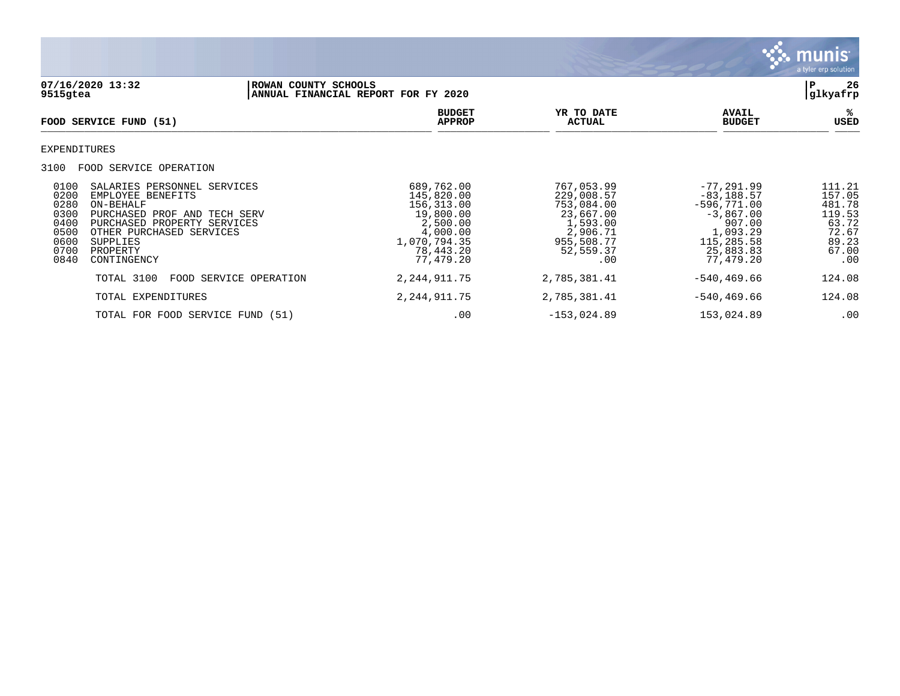

**07/16/2020 13:32 |ROWAN COUNTY SCHOOLS |P 26** ANNUAL FINANCIAL REPORT FOR FY 2020 **BUDGET YR TO DATE AVAIL %**  $FOOD$  **SERVICE FUND** (51)  $\frac{A \text{H} \text{R}}{A \text{H} \text{H} \text{R}}$ EXPENDITURES 3100 FOOD SERVICE OPERATION 0100 SALARIES PERSONNEL SERVICES 689,762.00 767,053.99 -77,291.99 111.21 0200 EMPLOYEE BENEFITS 145,820.00 229,008.57 -83,188.57 157.05 0280 ON-BEHALF 156,313.00 753,084.00 -596,771.00 481.78 0300 PURCHASED PROF AND TECH SERV 19,800.00 23,667.00 23,667.00 -3,867.00 119.53<br>0400 PURCHASED PROPERTY SERVICES 2,500.00 1,593.00 1,593.00 907.00 63.72<br>0500 OTHER PURCHASED SERVICES 4,000.00 2,906.71 1,093.29 72.67 0400 PURCHASED PROPERTY SERVICES 2,500.00 1,593.00 907.00 63.72<br>0500 OTHER PURCHASED SERVICES 4,000.00 2,906.71 1,093.29 72.67 0500 OTHER PURCHASED SERVICES (1,000.00 4,000.00 0500.00 2,906.71 1,093.29 72.67<br>2.95 89.23 115,285.58 89.23 1,070,794.35 955,508.77 115,285.58 89.23 0600 SUPPLIES 1,070,794.35 955,508.77 115,285.58 89.23 0700 PROPERTY 78,443.20 52,559.37 25,883.83 67.00 0840 CONTINGENCY 77,479.20 .00 77,479.20 .00 TOTAL 3100 FOOD SERVICE OPERATION 2, 244, 911.75 2, 785, 381.41 - 540, 469.66 124.08 TOTAL EXPENDITURES 2,244,911.75 2,785,381.41 -540,469.66 124.08

TOTAL FOR FOOD SERVICE FUND (51)  $.00$   $-153,024.89$   $.00$   $.00$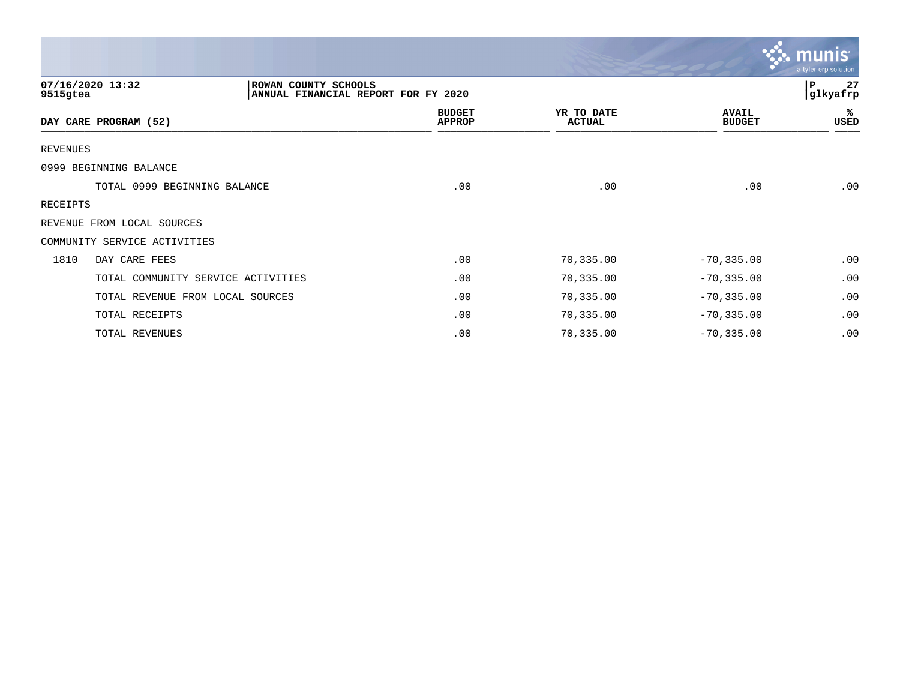|                                    |                                                             |                                |                             |                               | $\mathbf{\ddot{\cdot}}\mathbf{\ddot{\cdot}}$ munis<br>a tyler erp solution |
|------------------------------------|-------------------------------------------------------------|--------------------------------|-----------------------------|-------------------------------|----------------------------------------------------------------------------|
| 07/16/2020 13:32<br>9515gtea       | ROWAN COUNTY SCHOOLS<br>ANNUAL FINANCIAL REPORT FOR FY 2020 |                                |                             |                               | 27<br>l P<br>glkyafrp                                                      |
| DAY CARE PROGRAM (52)              |                                                             | <b>BUDGET</b><br><b>APPROP</b> | YR TO DATE<br><b>ACTUAL</b> | <b>AVAIL</b><br><b>BUDGET</b> | ℁<br>USED                                                                  |
| REVENUES                           |                                                             |                                |                             |                               |                                                                            |
| 0999 BEGINNING BALANCE             |                                                             |                                |                             |                               |                                                                            |
| TOTAL 0999 BEGINNING BALANCE       |                                                             | .00                            | .00                         | .00                           | .00                                                                        |
| RECEIPTS                           |                                                             |                                |                             |                               |                                                                            |
| REVENUE FROM LOCAL SOURCES         |                                                             |                                |                             |                               |                                                                            |
| COMMUNITY SERVICE ACTIVITIES       |                                                             |                                |                             |                               |                                                                            |
| 1810<br>DAY CARE FEES              |                                                             | .00                            | 70,335.00                   | $-70, 335.00$                 | .00                                                                        |
| TOTAL COMMUNITY SERVICE ACTIVITIES |                                                             | .00                            | 70,335.00                   | $-70, 335.00$                 | .00                                                                        |
| TOTAL REVENUE FROM LOCAL SOURCES   |                                                             | .00                            | 70,335.00                   | $-70, 335.00$                 | .00                                                                        |
| TOTAL RECEIPTS                     |                                                             | .00                            | 70,335.00                   | $-70, 335.00$                 | .00                                                                        |
| TOTAL REVENUES                     |                                                             | .00                            | 70,335.00                   | $-70, 335.00$                 | .00                                                                        |

the contract of the contract of the contract of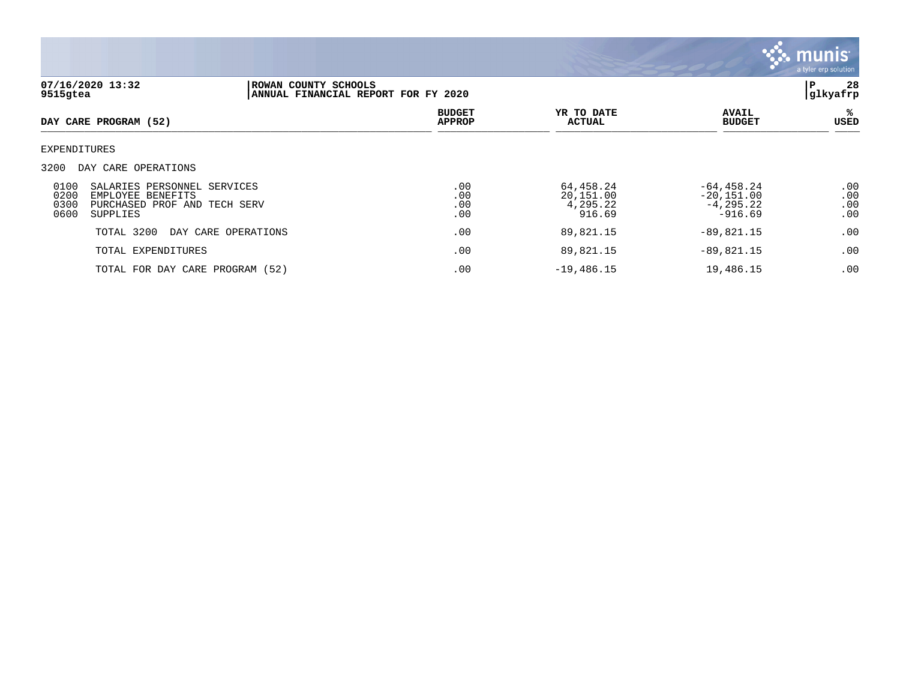

| 07/16/2020 13:32<br>9515gtea                                                                                                           | ROWAN COUNTY SCHOOLS<br>ANNUAL FINANCIAL REPORT FOR FY 2020 |                                |                                              |                                                            | 28<br>P<br>glkyafrp      |
|----------------------------------------------------------------------------------------------------------------------------------------|-------------------------------------------------------------|--------------------------------|----------------------------------------------|------------------------------------------------------------|--------------------------|
| DAY CARE PROGRAM (52)                                                                                                                  |                                                             | <b>BUDGET</b><br><b>APPROP</b> | YR TO DATE<br>ACTUAL                         | <b>AVAIL</b><br><b>BUDGET</b>                              | ℁<br>USED                |
| EXPENDITURES                                                                                                                           |                                                             |                                |                                              |                                                            |                          |
| 3200<br>DAY CARE OPERATIONS                                                                                                            |                                                             |                                |                                              |                                                            |                          |
| 0100<br>SALARIES PERSONNEL SERVICES<br>0200<br>EMPLOYEE<br><b>BENEFITS</b><br>0300<br>PURCHASED PROF AND TECH SERV<br>0600<br>SUPPLIES |                                                             | .00<br>.00<br>.00<br>.00       | 64,458.24<br>20,151.00<br>4,295.22<br>916.69 | $-64, 458.24$<br>$-20,151.00$<br>$-4, 295.22$<br>$-916.69$ | .00<br>.00<br>.00<br>.00 |
| TOTAL 3200                                                                                                                             | DAY CARE OPERATIONS                                         | .00                            | 89,821.15                                    | $-89,821.15$                                               | .00                      |
| TOTAL EXPENDITURES                                                                                                                     |                                                             | .00                            | 89,821.15                                    | $-89,821.15$                                               | .00                      |
| TOTAL FOR DAY CARE PROGRAM (52)                                                                                                        |                                                             | .00                            | $-19,486.15$                                 | 19,486.15                                                  | .00                      |
|                                                                                                                                        |                                                             |                                |                                              |                                                            |                          |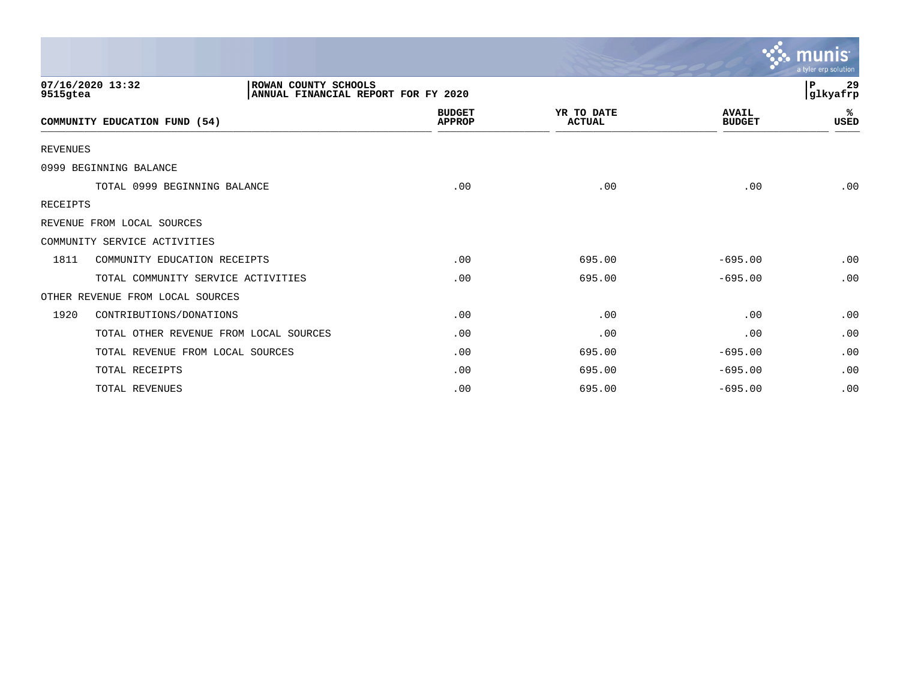|                 |                                                                                 |                                |                             |                               | munis<br>a tyler erp solution |
|-----------------|---------------------------------------------------------------------------------|--------------------------------|-----------------------------|-------------------------------|-------------------------------|
| 9515gtea        | 07/16/2020 13:32<br>ROWAN COUNTY SCHOOLS<br>ANNUAL FINANCIAL REPORT FOR FY 2020 |                                |                             |                               | 29<br>P<br>glkyafrp           |
|                 | COMMUNITY EDUCATION FUND (54)                                                   | <b>BUDGET</b><br><b>APPROP</b> | YR TO DATE<br><b>ACTUAL</b> | <b>AVAIL</b><br><b>BUDGET</b> | %<br>USED                     |
| <b>REVENUES</b> |                                                                                 |                                |                             |                               |                               |
|                 | 0999 BEGINNING BALANCE                                                          |                                |                             |                               |                               |
|                 | TOTAL 0999 BEGINNING BALANCE                                                    | .00                            | .00                         | .00                           | .00                           |
| <b>RECEIPTS</b> |                                                                                 |                                |                             |                               |                               |
|                 | REVENUE FROM LOCAL SOURCES                                                      |                                |                             |                               |                               |
|                 | COMMUNITY SERVICE ACTIVITIES                                                    |                                |                             |                               |                               |
| 1811            | COMMUNITY EDUCATION RECEIPTS                                                    | .00                            | 695.00                      | $-695.00$                     | .00                           |
|                 | TOTAL COMMUNITY SERVICE ACTIVITIES                                              | .00                            | 695.00                      | $-695.00$                     | .00                           |
|                 | OTHER REVENUE FROM LOCAL SOURCES                                                |                                |                             |                               |                               |
| 1920            | CONTRIBUTIONS/DONATIONS                                                         | .00                            | .00                         | .00                           | .00                           |
|                 | TOTAL OTHER REVENUE FROM LOCAL SOURCES                                          | .00                            | .00                         | .00                           | .00                           |
|                 | TOTAL REVENUE FROM LOCAL SOURCES                                                | .00                            | 695.00                      | $-695.00$                     | .00                           |
|                 | TOTAL RECEIPTS                                                                  | .00                            | 695.00                      | $-695.00$                     | .00                           |
|                 | TOTAL REVENUES                                                                  | .00                            | 695.00                      | $-695.00$                     | .00                           |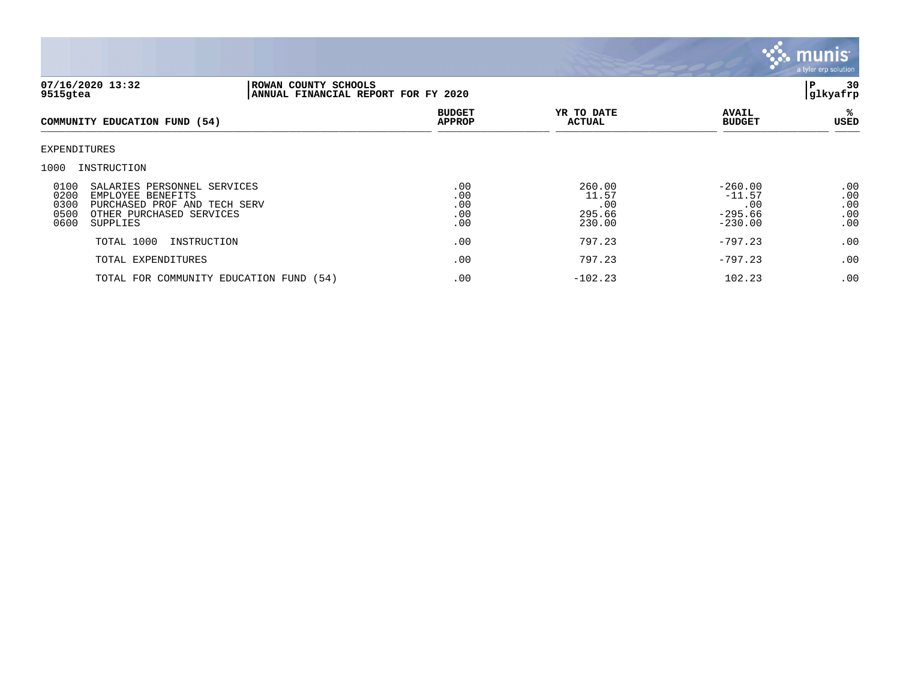

| 07/16/2020 13:32<br>9515gtea                                                                                                                                     | ROWAN COUNTY SCHOOLS<br>ANNUAL FINANCIAL REPORT FOR FY 2020 |                                 |                                            |                                                        | 30<br>P<br>glkyafrp             |
|------------------------------------------------------------------------------------------------------------------------------------------------------------------|-------------------------------------------------------------|---------------------------------|--------------------------------------------|--------------------------------------------------------|---------------------------------|
| COMMUNITY EDUCATION FUND (54)                                                                                                                                    |                                                             | <b>BUDGET</b><br><b>APPROP</b>  | YR TO DATE<br><b>ACTUAL</b>                | <b>AVAIL</b><br><b>BUDGET</b>                          | ್ಯ<br>USED                      |
| EXPENDITURES                                                                                                                                                     |                                                             |                                 |                                            |                                                        |                                 |
| 1000<br>INSTRUCTION                                                                                                                                              |                                                             |                                 |                                            |                                                        |                                 |
| 0100<br>SALARIES PERSONNEL SERVICES<br>0200<br>EMPLOYEE BENEFITS<br>0300<br>PURCHASED PROF AND TECH SERV<br>0500<br>OTHER PURCHASED SERVICES<br>0600<br>SUPPLIES |                                                             | .00<br>.00<br>.00<br>.00<br>.00 | 260.00<br>11.57<br>.00<br>295.66<br>230.00 | $-260.00$<br>$-11.57$<br>.00<br>$-295.66$<br>$-230.00$ | .00<br>.00<br>.00<br>.00<br>.00 |
| TOTAL 1000                                                                                                                                                       | INSTRUCTION                                                 | .00                             | 797.23                                     | $-797.23$                                              | .00                             |
| TOTAL EXPENDITURES                                                                                                                                               |                                                             | .00                             | 797.23                                     | $-797.23$                                              | .00                             |
|                                                                                                                                                                  | TOTAL FOR COMMUNITY EDUCATION FUND (54)                     | .00                             | $-102.23$                                  | 102.23                                                 | .00                             |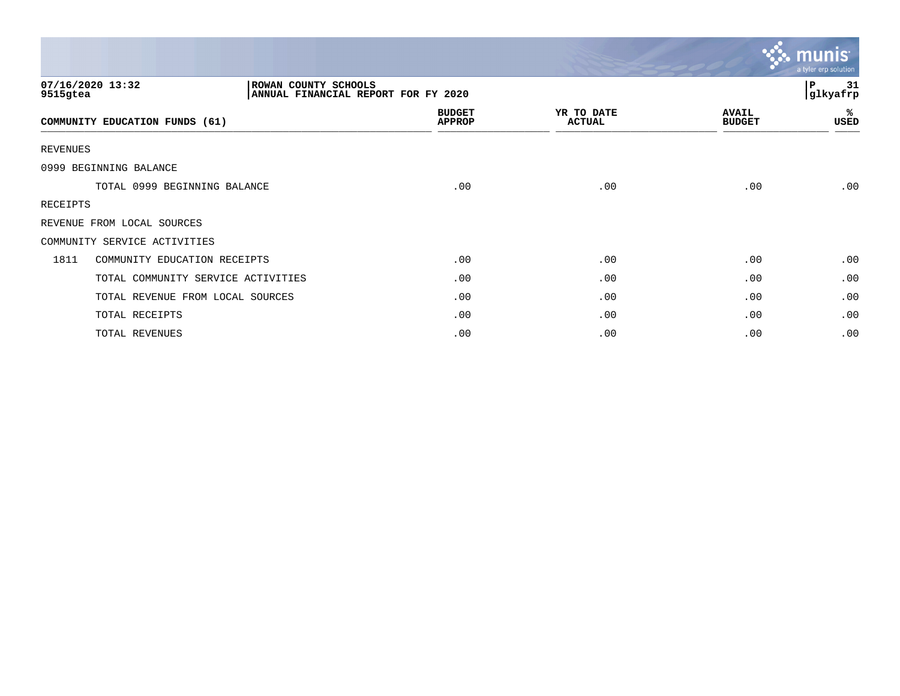|                                      |                                                             |                                |                             |                               | $\sim$ munis<br>a tyler erp solution |
|--------------------------------------|-------------------------------------------------------------|--------------------------------|-----------------------------|-------------------------------|--------------------------------------|
| 07/16/2020 13:32<br>9515gtea         | ROWAN COUNTY SCHOOLS<br>ANNUAL FINANCIAL REPORT FOR FY 2020 |                                |                             |                               | 31<br>l P<br>glkyafrp                |
| COMMUNITY EDUCATION FUNDS (61)       |                                                             | <b>BUDGET</b><br><b>APPROP</b> | YR TO DATE<br><b>ACTUAL</b> | <b>AVAIL</b><br><b>BUDGET</b> | %ะ<br>USED                           |
| REVENUES                             |                                                             |                                |                             |                               |                                      |
| 0999 BEGINNING BALANCE               |                                                             |                                |                             |                               |                                      |
| TOTAL 0999 BEGINNING BALANCE         |                                                             | .00                            | .00                         | .00                           | .00                                  |
| RECEIPTS                             |                                                             |                                |                             |                               |                                      |
| REVENUE FROM LOCAL SOURCES           |                                                             |                                |                             |                               |                                      |
| COMMUNITY SERVICE ACTIVITIES         |                                                             |                                |                             |                               |                                      |
| 1811<br>COMMUNITY EDUCATION RECEIPTS |                                                             | .00                            | .00                         | .00                           | .00                                  |
| TOTAL COMMUNITY SERVICE ACTIVITIES   |                                                             | .00                            | .00                         | .00                           | .00                                  |
| TOTAL REVENUE FROM LOCAL SOURCES     |                                                             | .00                            | .00                         | .00                           | .00                                  |
| TOTAL RECEIPTS                       |                                                             | .00                            | .00                         | .00                           | .00                                  |
| TOTAL REVENUES                       |                                                             | .00                            | .00                         | .00                           | .00                                  |

 $\sim$   $\sim$   $\sim$   $\sim$   $\sim$   $\sim$   $\sim$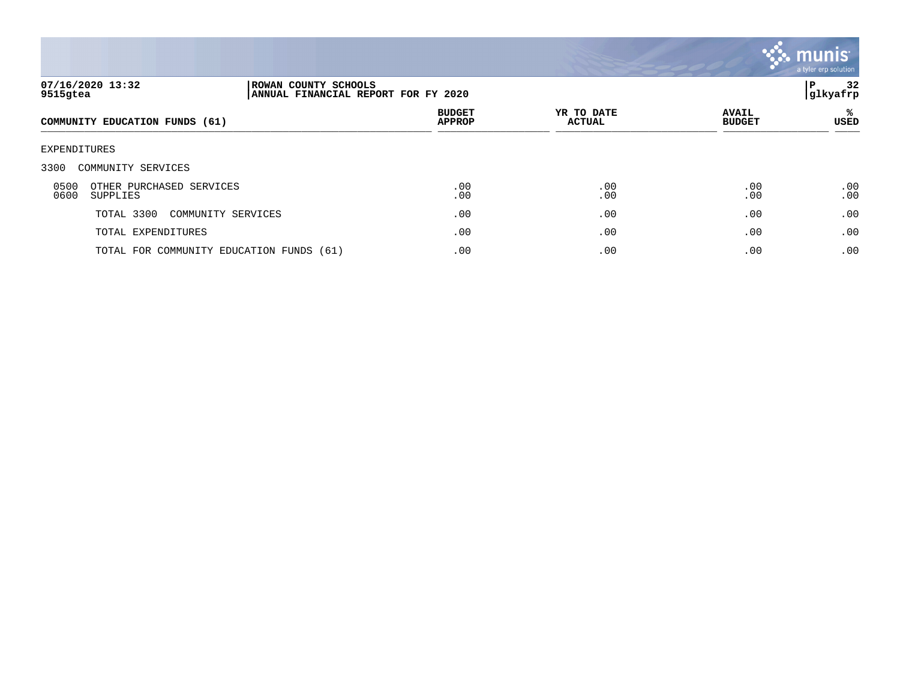

| 07/16/2020 13:32<br>9515gtea                         | ROWAN COUNTY SCHOOLS<br>ANNUAL FINANCIAL REPORT FOR FY 2020 |                                |                             |                               | 32<br>P<br> glkyafrp |
|------------------------------------------------------|-------------------------------------------------------------|--------------------------------|-----------------------------|-------------------------------|----------------------|
| COMMUNITY EDUCATION FUNDS (61)                       |                                                             | <b>BUDGET</b><br><b>APPROP</b> | YR TO DATE<br><b>ACTUAL</b> | <b>AVAIL</b><br><b>BUDGET</b> | ℁<br>USED            |
| EXPENDITURES                                         |                                                             |                                |                             |                               |                      |
| 3300<br>COMMUNITY SERVICES                           |                                                             |                                |                             |                               |                      |
| 0500<br>OTHER PURCHASED SERVICES<br>0600<br>SUPPLIES |                                                             | .00<br>.00                     | .00<br>.00                  | .00<br>.00                    | .00<br>.00           |
| TOTAL 3300<br>COMMUNITY SERVICES                     |                                                             | .00                            | .00                         | .00                           | .00                  |
| TOTAL EXPENDITURES                                   |                                                             | .00                            | .00                         | .00                           | .00                  |
| TOTAL FOR COMMUNITY EDUCATION FUNDS (61)             |                                                             | .00                            | .00                         | .00                           | .00                  |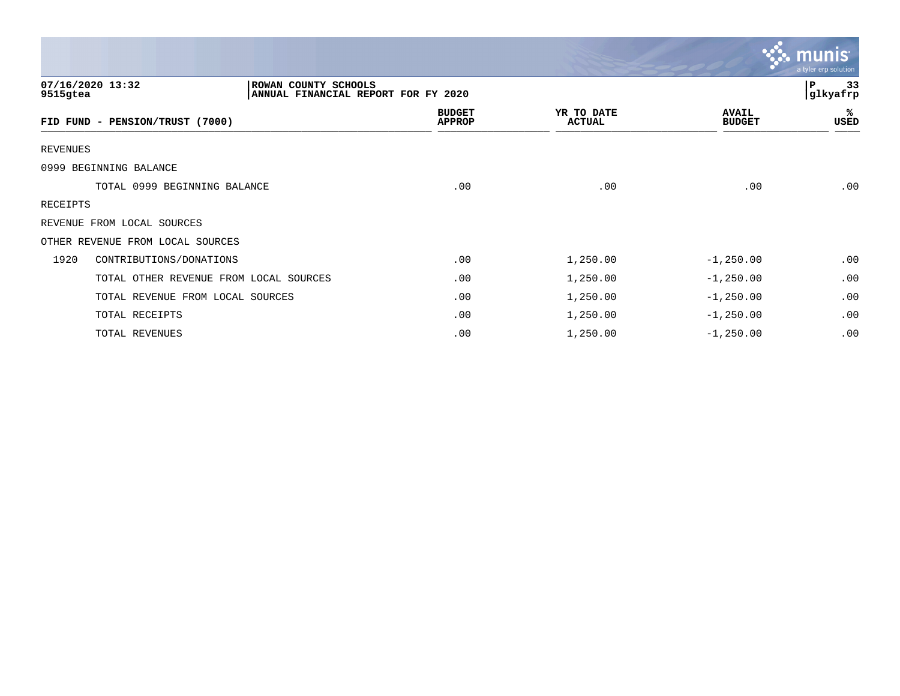|                 |                                                                                 |                                |                             |                               | <b>munis</b><br>a tyler erp solution |
|-----------------|---------------------------------------------------------------------------------|--------------------------------|-----------------------------|-------------------------------|--------------------------------------|
| 9515gtea        | 07/16/2020 13:32<br>ROWAN COUNTY SCHOOLS<br>ANNUAL FINANCIAL REPORT FOR FY 2020 |                                |                             |                               | P<br>33<br>glkyafrp                  |
|                 | FID FUND - PENSION/TRUST (7000)                                                 | <b>BUDGET</b><br><b>APPROP</b> | YR TO DATE<br><b>ACTUAL</b> | <b>AVAIL</b><br><b>BUDGET</b> | ℁<br>USED                            |
| <b>REVENUES</b> |                                                                                 |                                |                             |                               |                                      |
|                 | 0999 BEGINNING BALANCE                                                          |                                |                             |                               |                                      |
|                 | TOTAL 0999 BEGINNING BALANCE                                                    | .00                            | .00                         | .00                           | .00                                  |
| RECEIPTS        |                                                                                 |                                |                             |                               |                                      |
|                 | REVENUE FROM LOCAL SOURCES                                                      |                                |                             |                               |                                      |
|                 | OTHER REVENUE FROM LOCAL SOURCES                                                |                                |                             |                               |                                      |
| 1920            | CONTRIBUTIONS/DONATIONS                                                         | .00                            | 1,250.00                    | $-1, 250.00$                  | .00                                  |
|                 | TOTAL OTHER REVENUE FROM LOCAL SOURCES                                          | .00                            | 1,250.00                    | $-1, 250.00$                  | .00                                  |
|                 | TOTAL REVENUE FROM LOCAL SOURCES                                                | .00                            | 1,250.00                    | $-1, 250.00$                  | .00                                  |
|                 | TOTAL RECEIPTS                                                                  | .00                            | 1,250.00                    | $-1, 250.00$                  | .00                                  |
|                 | TOTAL REVENUES                                                                  | .00                            | 1,250.00                    | $-1, 250.00$                  | .00                                  |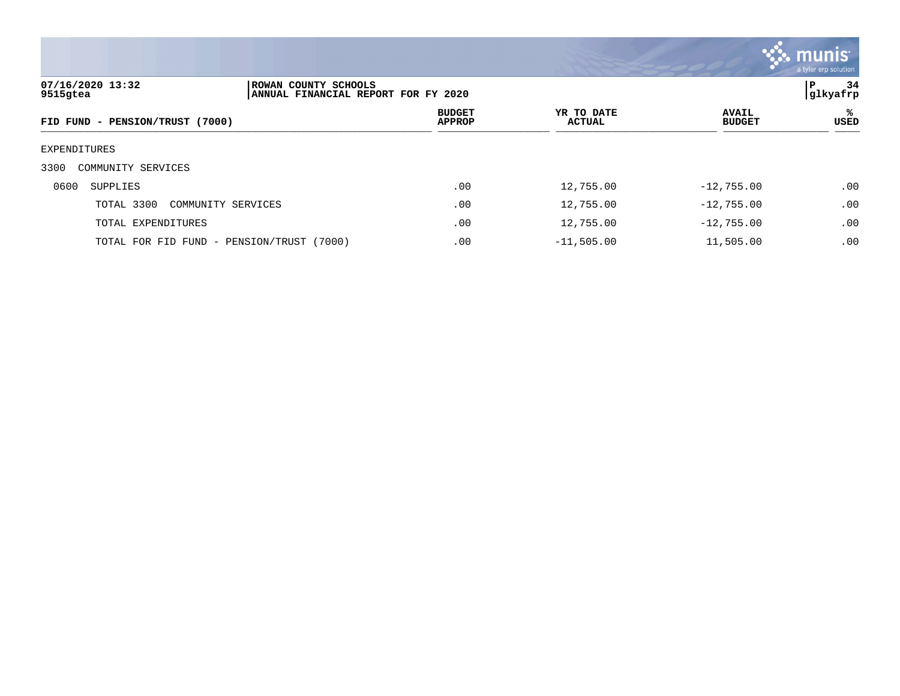

| 07/16/2020 13:32<br>ROWAN COUNTY SCHOOLS<br>9515gtea<br>ANNUAL FINANCIAL REPORT FOR FY 2020 |  |                                |                             |  | 34<br>P<br>glkyafrp           |                  |
|---------------------------------------------------------------------------------------------|--|--------------------------------|-----------------------------|--|-------------------------------|------------------|
| FID FUND - PENSION/TRUST (7000)                                                             |  | <b>BUDGET</b><br><b>APPROP</b> | YR TO DATE<br><b>ACTUAL</b> |  | <b>AVAIL</b><br><b>BUDGET</b> | ℁<br><b>USED</b> |
| EXPENDITURES                                                                                |  |                                |                             |  |                               |                  |
| 3300<br>COMMUNITY SERVICES                                                                  |  |                                |                             |  |                               |                  |
| 0600<br>SUPPLIES                                                                            |  | .00                            | 12,755.00                   |  | $-12,755.00$                  | .00              |
| TOTAL 3300<br>COMMUNITY SERVICES                                                            |  | .00                            | 12,755.00                   |  | $-12,755.00$                  | .00              |
| TOTAL EXPENDITURES                                                                          |  | .00                            | 12,755.00                   |  | $-12,755.00$                  | .00              |
| TOTAL FOR FID FUND - PENSION/TRUST (7000)                                                   |  | .00                            | $-11,505.00$                |  | 11,505.00                     | .00              |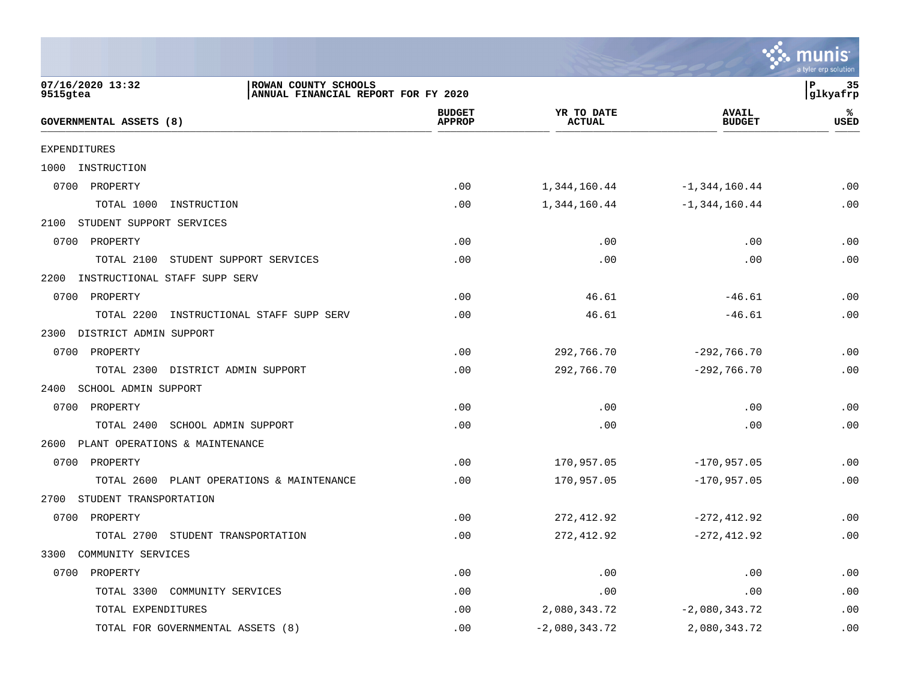|                                                                                             |                                |                             |                               | a tyler erp solution        |
|---------------------------------------------------------------------------------------------|--------------------------------|-----------------------------|-------------------------------|-----------------------------|
| 07/16/2020 13:32<br>ROWAN COUNTY SCHOOLS<br>9515gtea<br>ANNUAL FINANCIAL REPORT FOR FY 2020 |                                |                             |                               | P<br>-35<br>glkyafrp        |
| GOVERNMENTAL ASSETS (8)                                                                     | <b>BUDGET</b><br><b>APPROP</b> | YR TO DATE<br><b>ACTUAL</b> | <b>AVAIL</b><br><b>BUDGET</b> | ℁<br>USED                   |
| <b>EXPENDITURES</b>                                                                         |                                |                             |                               |                             |
| 1000<br>INSTRUCTION                                                                         |                                |                             |                               |                             |
| 0700 PROPERTY                                                                               | .00                            | 1,344,160.44                | $-1, 344, 160.44$             | .00                         |
| TOTAL 1000<br>INSTRUCTION                                                                   | .00                            | 1,344,160.44                | $-1, 344, 160.44$             | .00                         |
| STUDENT SUPPORT SERVICES<br>2100                                                            |                                |                             |                               |                             |
| 0700<br>PROPERTY                                                                            | .00                            | .00                         | .00                           | .00                         |
| TOTAL 2100<br>STUDENT SUPPORT SERVICES                                                      | .00                            | .00                         | .00                           | .00                         |
| 2200<br>INSTRUCTIONAL STAFF SUPP SERV                                                       |                                |                             |                               |                             |
| 0700 PROPERTY                                                                               | .00                            | 46.61                       | $-46.61$                      | .00                         |
| TOTAL 2200<br>INSTRUCTIONAL STAFF SUPP SERV                                                 | .00                            | 46.61                       | $-46.61$                      | .00                         |
| DISTRICT ADMIN SUPPORT<br>2300                                                              |                                |                             |                               |                             |
| 0700 PROPERTY                                                                               | .00                            | 292,766.70                  | $-292,766.70$                 | .00                         |
| TOTAL 2300<br>DISTRICT ADMIN SUPPORT                                                        | .00                            | 292,766.70                  | $-292,766.70$                 | .00                         |
| SCHOOL ADMIN SUPPORT<br>2400                                                                |                                |                             |                               |                             |
| 0700<br>PROPERTY                                                                            | .00                            | .00                         | .00                           | .00                         |
| SCHOOL ADMIN SUPPORT<br>TOTAL 2400                                                          | .00                            | .00                         | .00                           | .00                         |
| 2600<br>PLANT OPERATIONS & MAINTENANCE                                                      |                                |                             |                               |                             |
| 0700 PROPERTY                                                                               | .00                            | 170,957.05                  | $-170,957.05$                 | .00                         |
| TOTAL 2600<br>PLANT OPERATIONS & MAINTENANCE                                                | .00                            | 170,957.05                  | $-170,957.05$                 | .00                         |
| STUDENT TRANSPORTATION<br>2700                                                              |                                |                             |                               |                             |
| 0700<br>PROPERTY                                                                            | .00                            | 272, 412.92                 | $-272, 412.92$                | .00                         |
| TOTAL 2700<br>STUDENT TRANSPORTATION                                                        | .00                            | 272, 412.92                 | $-272, 412.92$                | .00                         |
| COMMUNITY SERVICES<br>3300                                                                  |                                |                             |                               |                             |
| 0700<br>PROPERTY                                                                            | .00                            | .00                         | .00                           | $\boldsymbol{\mathsf{.00}}$ |
| TOTAL 3300<br>COMMUNITY SERVICES                                                            | .00                            | .00                         | .00                           | .00                         |
| TOTAL EXPENDITURES                                                                          | .00                            | 2,080,343.72                | $-2,080,343.72$               | .00                         |
| TOTAL FOR GOVERNMENTAL ASSETS (8)                                                           | .00                            | $-2,080,343.72$             | 2,080,343.72                  | .00                         |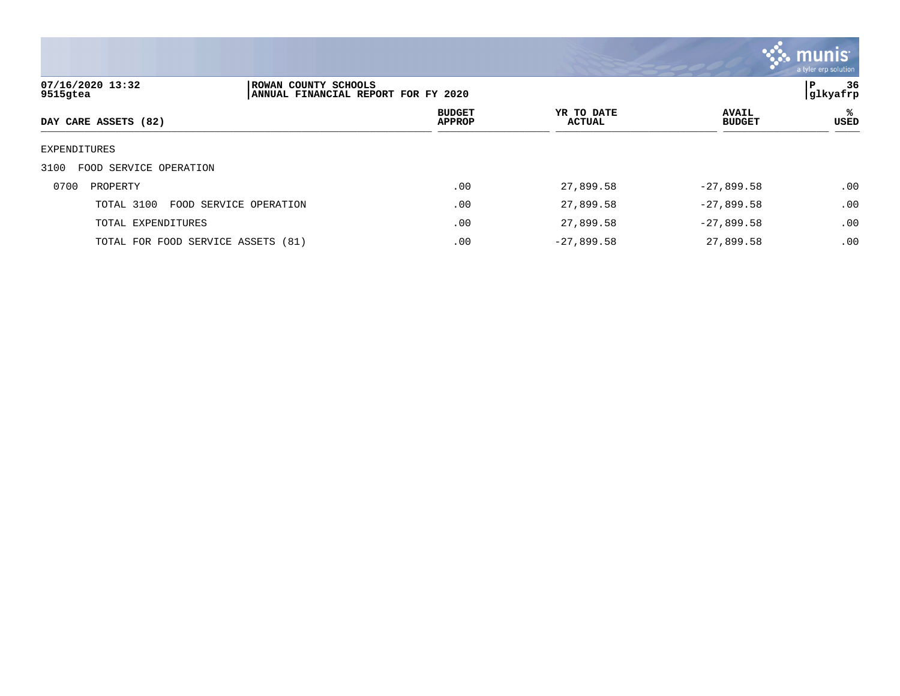

| 07/16/2020 13:32<br>9515gtea       | ROWAN COUNTY SCHOOLS<br>ANNUAL FINANCIAL REPORT FOR FY 2020 |                                |                             |                               | 36<br>l P<br> glkyafrp |
|------------------------------------|-------------------------------------------------------------|--------------------------------|-----------------------------|-------------------------------|------------------------|
| DAY CARE ASSETS (82)               |                                                             | <b>BUDGET</b><br><b>APPROP</b> | YR TO DATE<br><b>ACTUAL</b> | <b>AVAIL</b><br><b>BUDGET</b> | ℁<br>USED              |
| EXPENDITURES                       |                                                             |                                |                             |                               |                        |
| FOOD SERVICE OPERATION<br>3100     |                                                             |                                |                             |                               |                        |
| 0700<br>PROPERTY                   |                                                             | .00                            | 27,899.58                   | $-27,899.58$                  | .00                    |
| TOTAL 3100                         | FOOD SERVICE OPERATION                                      | .00                            | 27,899.58                   | $-27,899.58$                  | .00                    |
| TOTAL EXPENDITURES                 |                                                             | .00                            | 27,899.58                   | $-27,899.58$                  | .00                    |
| TOTAL FOR FOOD SERVICE ASSETS (81) |                                                             | .00                            | $-27,899.58$                | 27,899.58                     | .00                    |
|                                    |                                                             |                                |                             |                               |                        |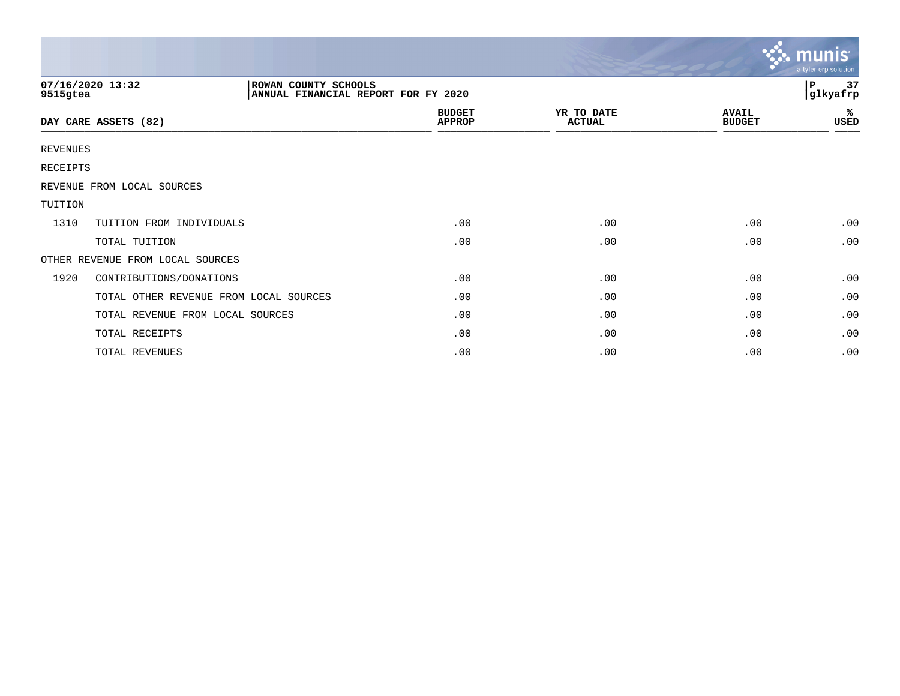|          |                                        |                                                             |                                |                             |                               | <b>munis</b><br>a tyler erp solution |
|----------|----------------------------------------|-------------------------------------------------------------|--------------------------------|-----------------------------|-------------------------------|--------------------------------------|
| 9515gtea | 07/16/2020 13:32                       | ROWAN COUNTY SCHOOLS<br>ANNUAL FINANCIAL REPORT FOR FY 2020 |                                |                             | 37<br>P<br>glkyafrp           |                                      |
|          | DAY CARE ASSETS (82)                   |                                                             | <b>BUDGET</b><br><b>APPROP</b> | YR TO DATE<br><b>ACTUAL</b> | <b>AVAIL</b><br><b>BUDGET</b> | ℁<br>USED                            |
| REVENUES |                                        |                                                             |                                |                             |                               |                                      |
| RECEIPTS |                                        |                                                             |                                |                             |                               |                                      |
|          | REVENUE FROM LOCAL SOURCES             |                                                             |                                |                             |                               |                                      |
| TUITION  |                                        |                                                             |                                |                             |                               |                                      |
| 1310     | TUITION FROM INDIVIDUALS               |                                                             | .00                            | .00                         | .00                           | .00                                  |
|          | TOTAL TUITION                          |                                                             | .00                            | .00                         | .00                           | .00                                  |
|          | OTHER REVENUE FROM LOCAL SOURCES       |                                                             |                                |                             |                               |                                      |
| 1920     | CONTRIBUTIONS/DONATIONS                |                                                             | .00                            | .00                         | .00                           | .00                                  |
|          | TOTAL OTHER REVENUE FROM LOCAL SOURCES |                                                             | .00                            | .00                         | .00                           | .00                                  |
|          | TOTAL REVENUE FROM LOCAL SOURCES       |                                                             | .00                            | .00                         | .00                           | .00                                  |
|          | TOTAL RECEIPTS                         |                                                             | .00                            | .00                         | .00                           | .00                                  |
|          | TOTAL REVENUES                         |                                                             | .00                            | .00                         | .00                           | .00                                  |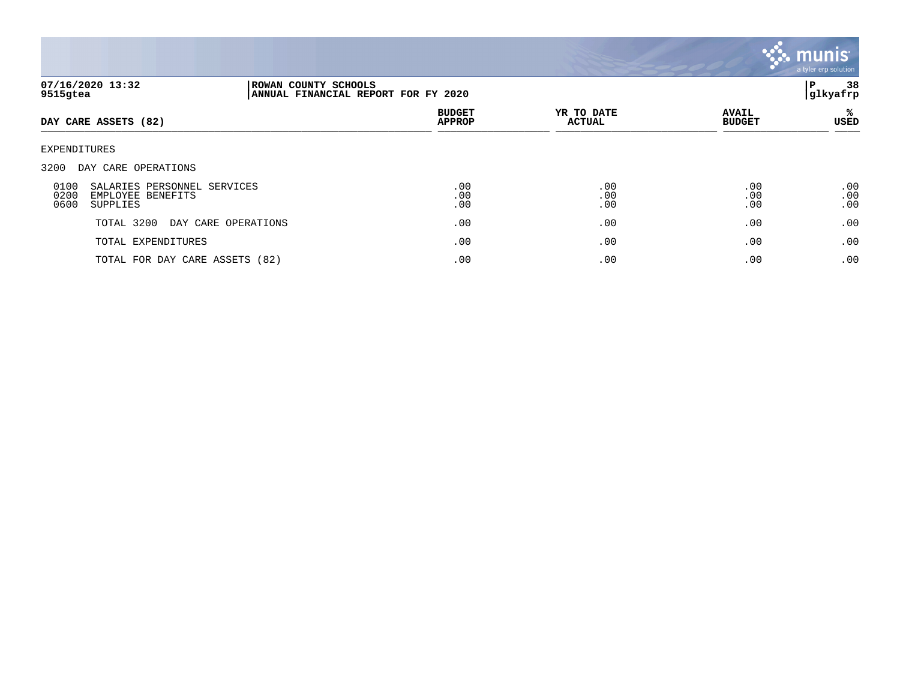

| 07/16/2020 13:32<br>9515gtea |                                                              | ROWAN COUNTY SCHOOLS<br>ANNUAL FINANCIAL REPORT FOR FY 2020 |                                |                             |                               |                   |
|------------------------------|--------------------------------------------------------------|-------------------------------------------------------------|--------------------------------|-----------------------------|-------------------------------|-------------------|
| DAY CARE ASSETS (82)         |                                                              |                                                             | <b>BUDGET</b><br><b>APPROP</b> | YR TO DATE<br><b>ACTUAL</b> | <b>AVAIL</b><br><b>BUDGET</b> | %<br>USED         |
| EXPENDITURES                 |                                                              |                                                             |                                |                             |                               |                   |
| 3200                         | DAY CARE OPERATIONS                                          |                                                             |                                |                             |                               |                   |
| 0100<br>0200<br>0600         | SALARIES PERSONNEL SERVICES<br>EMPLOYEE BENEFITS<br>SUPPLIES |                                                             | .00<br>.00<br>.00              | .00<br>.00<br>.00           | .00<br>.00<br>.00             | .00<br>.00<br>.00 |
|                              | TOTAL 3200<br>DAY CARE OPERATIONS                            |                                                             | .00                            | .00                         | .00                           | .00               |
|                              | TOTAL EXPENDITURES                                           |                                                             | .00                            | .00                         | .00                           | .00               |
|                              | TOTAL FOR DAY CARE ASSETS (82)                               |                                                             | .00                            | .00                         | .00                           | .00               |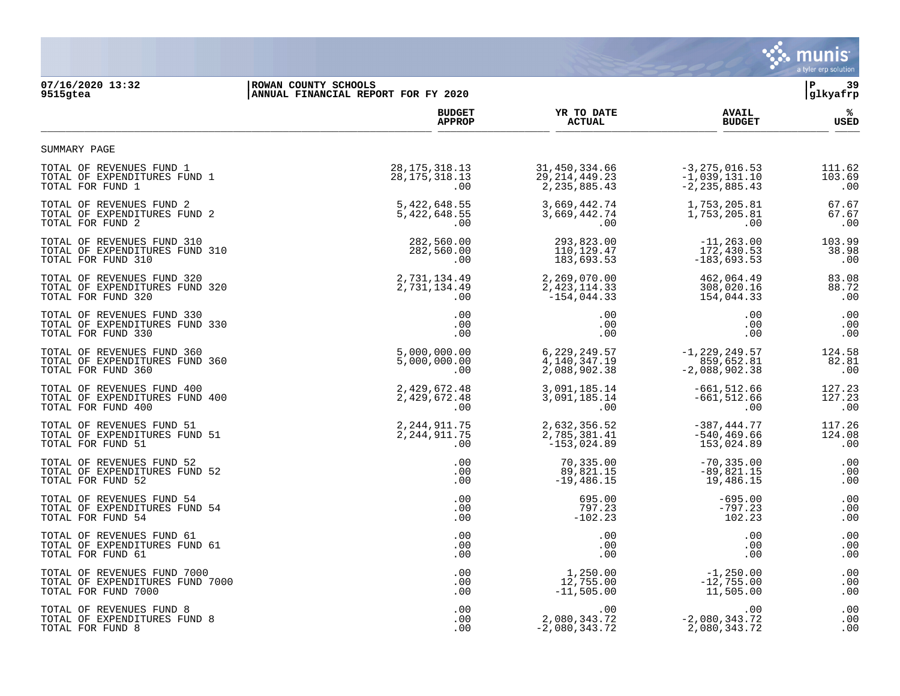

**07/16/2020 13:32 |ROWAN COUNTY SCHOOLS |P 39 9515gtea |ANNUAL FINANCIAL REPORT FOR FY 2020 |glkyafrp BUDGET YR TO DATE AVAIL % APPROP ACTUAL BUDGET USED**  $\frac{A_{\text{r}}}{A_{\text{r}}+A_{\text{r}}+A_{\text{r}}+A_{\text{r}}+A_{\text{r}}+A_{\text{r}}+A_{\text{r}}+A_{\text{r}}+A_{\text{r}}+A_{\text{r}}+A_{\text{r}}+A_{\text{r}}+A_{\text{r}}+A_{\text{r}}+A_{\text{r}}+A_{\text{r}}+A_{\text{r}}+A_{\text{r}}+A_{\text{r}}+A_{\text{r}}+A_{\text{r}}+A_{\text{r}}+A_{\text{r}}+A_{\text{r}}+A_{\text{r}}+A_{\text{r}}+A$ TOTAL OF REVENUES FUND 1<br>
TOTAL OF EXPENDITURES FUND 1<br>
103.69 103.69 131.10 103.69 28,175,318.13 29,214,449.23 −1,039,131.10<br>
103.69 2,235,885.43 −2,235,885.43 TOTAL OF EXPENDITURES FUND 1 28,175,318.13 29,214,449.23 -1,039,131.10 103.69 00 . 100 . 100 . 100 . 100 . 100 . 100 . 100 . 100 . 100 . 100 . 100 . 100 . 100 . 100 . 100 . 100 . 100 . 100

| TOTAL OF REVENUES FUND 2        | 5,422,648.55    | 3,669,442.74    | 1,753,205.81      | 67.67  |
|---------------------------------|-----------------|-----------------|-------------------|--------|
| TOTAL OF EXPENDITURES FUND 2    | 5,422,648.55    | 3,669,442.74    | 1,753,205.81      | 67.67  |
| TOTAL FOR FUND 2                | $.00 \,$        | .00             | .00               | .00    |
| TOTAL OF REVENUES FUND 310      | 282,560.00      | 293,823.00      | $-11, 263.00$     | 103.99 |
| TOTAL OF EXPENDITURES FUND 310  | 282,560.00      | 110,129.47      | 172,430.53        | 38.98  |
| TOTAL FOR FUND 310              | $.00 \,$        | 183,693.53      | $-183,693.53$     | .00    |
| TOTAL OF REVENUES FUND 320      | 2,731,134.49    | 2,269,070.00    | 462,064.49        | 83.08  |
| TOTAL OF EXPENDITURES FUND 320  | 2,731,134.49    | 2,423,114.33    | 308,020.16        | 88.72  |
| TOTAL FOR FUND 320              | $.00 \ \rm$     | $-154,044.33$   | 154,044.33        | .00    |
| TOTAL OF REVENUES FUND 330      | $.00 \,$        | .00.            | .00               | .00    |
| TOTAL OF EXPENDITURES FUND 330  | .00             | .00             | .00               | .00    |
| TOTAL FOR FUND 330              | .00             | .00             | .00               | .00    |
| TOTAL OF REVENUES FUND 360      | 5,000,000.00    | 6,229,249.57    | $-1, 229, 249.57$ | 124.58 |
| TOTAL OF EXPENDITURES FUND 360  | 5,000,000.00    | 4,140,347.19    | 859,652.81        | 82.81  |
| TOTAL FOR FUND 360              | $.00 \,$        | 2,088,902.38    | $-2,088,902.38$   | .00    |
| TOTAL OF REVENUES FUND 400      | 2,429,672.48    | 3,091,185.14    | $-661.512.66$     | 127.23 |
| TOTAL OF EXPENDITURES FUND 400  | 2,429,672.48    | 3,091,185.14    | $-661,512.66$     | 127.23 |
| TOTAL FOR FUND 400              | $.00 \,$        | $.00 \,$        | .00               | .00    |
| TOTAL OF REVENUES FUND 51       | 2,244,911.75    | 2,632,356.52    | $-387, 444.77$    | 117.26 |
| TOTAL OF EXPENDITURES FUND 51   | 2, 244, 911. 75 | 2,785,381.41    | $-540, 469.66$    | 124.08 |
| TOTAL FOR FUND 51               | .00             | $-153,024.89$   | 153,024.89        | .00    |
| TOTAL OF REVENUES FUND 52       | .00             | 70,335.00       | $-70, 335.00$     | .00    |
| TOTAL OF EXPENDITURES FUND 52   | .00             | 89,821.15       | $-89,821.15$      | .00    |
| TOTAL FOR FUND 52               | .00             | $-19,486.15$    | 19,486.15         | .00    |
| TOTAL OF REVENUES FUND 54       | .00             | 695.00          | $-695.00$         | .00    |
| TOTAL OF EXPENDITURES FUND 54   | .00             | 797.23          | $-797.23$         | .00    |
| TOTAL FOR FUND 54               | .00             | $-102.23$       | 102.23            | .00    |
| TOTAL OF REVENUES FUND 61       | .00             | .00             | .00               | .00    |
| TOTAL OF EXPENDITURES FUND 61   | .00             | .00             | .00               | .00    |
| TOTAL FOR FUND 61               | .00             | .00             | .00               | .00    |
| TOTAL OF REVENUES FUND 7000     | .00             | 1,250.00        | $-1,250.00$       | .00    |
| TOTAL OF EXPENDITURES FUND 7000 | .00             | 12,755.00       | $-12,755.00$      | .00    |
| TOTAL FOR FUND 7000             | .00             | $-11,505.00$    | 11,505.00         | .00    |
| TOTAL OF REVENUES FUND 8        | .00             | $.00 \,$        | .00               | .00    |
| TOTAL OF EXPENDITURES FUND 8    | $.00 \,$        | 2,080,343.72    | $-2,080,343.72$   | .00    |
| TOTAL FOR FUND 8                | .00             | $-2,080,343.72$ | 2,080,343.72      | .00    |

SUMMARY PAGE